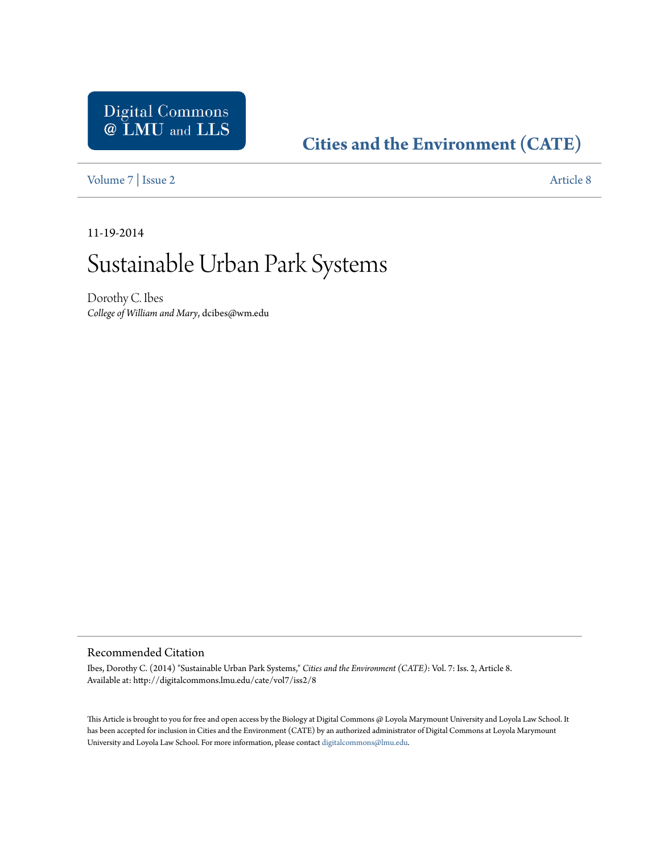# Digital Commons<br> **@ LMU** and LLS

# **[Cities and the Environment \(CATE\)](http://digitalcommons.lmu.edu/cate)**

[Volume 7](http://digitalcommons.lmu.edu/cate/vol7) | [Issue 2](http://digitalcommons.lmu.edu/cate/vol7/iss2) [Article 8](http://digitalcommons.lmu.edu/cate/vol7/iss2/8)

11-19-2014

# Sustainable Urban Park Systems

Dorothy C. Ibes *College of William and Mary*, dcibes@wm.edu

#### Recommended Citation

Ibes, Dorothy C. (2014) "Sustainable Urban Park Systems," *Cities and the Environment (CATE)*: Vol. 7: Iss. 2, Article 8. Available at: http://digitalcommons.lmu.edu/cate/vol7/iss2/8

This Article is brought to you for free and open access by the Biology at Digital Commons @ Loyola Marymount University and Loyola Law School. It has been accepted for inclusion in Cities and the Environment (CATE) by an authorized administrator of Digital Commons at Loyola Marymount University and Loyola Law School. For more information, please contact [digitalcommons@lmu.edu](mailto:digitalcommons@lmu.edu).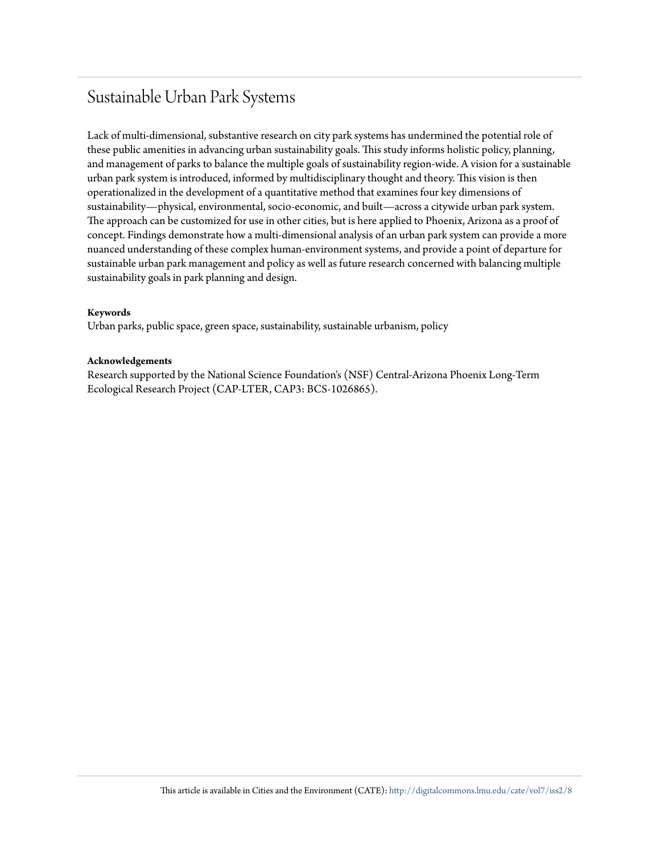## Sustainable Urban Park Systems

Lack of multi-dimensional, substantive research on city park systems has undermined the potential role of these public amenities in advancing urban sustainability goals. This study informs holistic policy, planning, and management of parks to balance the multiple goals of sustainability region-wide. A vision for a sustainable urban park system is introduced, informed by multidisciplinary thought and theory. This vision is then operationalized in the development of a quantitative method that examines four key dimensions of sustainability—physical, environmental, socio-economic, and built—across a citywide urban park system. The approach can be customized for use in other cities, but is here applied to Phoenix, Arizona as a proof of concept. Findings demonstrate how a multi-dimensional analysis of an urban park system can provide a more nuanced understanding of these complex human-environment systems, and provide a point of departure for sustainable urban park management and policy as well as future research concerned with balancing multiple sustainability goals in park planning and design.

#### **Keywords**

Urban parks, public space, green space, sustainability, sustainable urbanism, policy

#### **Acknowledgements**

Research supported by the National Science Foundation's (NSF) Central-Arizona Phoenix Long-Term Ecological Research Project (CAP-LTER, CAP3: BCS-1026865).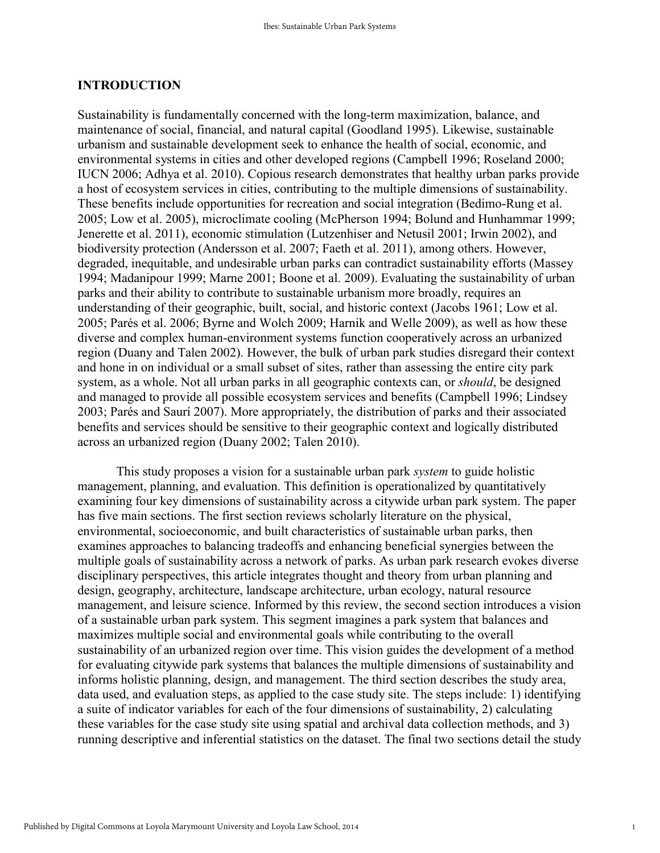#### **INTRODUCTION**

Sustainability is fundamentally concerned with the long-term maximization, balance, and maintenance of social, financial, and natural capital (Goodland 1995). Likewise, sustainable urbanism and sustainable development seek to enhance the health of social, economic, and environmental systems in cities and other developed regions (Campbell 1996; Roseland 2000; IUCN 2006; Adhya et al. 2010). Copious research demonstrates that healthy urban parks provide a host of ecosystem services in cities, contributing to the multiple dimensions of sustainability. These benefits include opportunities for recreation and social integration (Bedimo-Rung et al. 2005; Low et al. 2005), microclimate cooling (McPherson 1994; Bolund and Hunhammar 1999; Jenerette et al. 2011), economic stimulation (Lutzenhiser and Netusil 2001; Irwin 2002), and biodiversity protection (Andersson et al. 2007; Faeth et al. 2011), among others. However, degraded, inequitable, and undesirable urban parks can contradict sustainability efforts (Massey 1994; Madanipour 1999; Marne 2001; Boone et al. 2009). Evaluating the sustainability of urban parks and their ability to contribute to sustainable urbanism more broadly, requires an understanding of their geographic, built, social, and historic context (Jacobs 1961; Low et al. 2005; Parés et al. 2006; Byrne and Wolch 2009; Harnik and Welle 2009), as well as how these diverse and complex human-environment systems function cooperatively across an urbanized region (Duany and Talen 2002). However, the bulk of urban park studies disregard their context and hone in on individual or a small subset of sites, rather than assessing the entire city park system, as a whole. Not all urban parks in all geographic contexts can, or *should*, be designed and managed to provide all possible ecosystem services and benefits (Campbell 1996; Lindsey 2003; Parés and Saurí 2007). More appropriately, the distribution of parks and their associated benefits and services should be sensitive to their geographic context and logically distributed across an urbanized region (Duany 2002; Talen 2010).

This study proposes a vision for a sustainable urban park *system* to guide holistic management, planning, and evaluation. This definition is operationalized by quantitatively examining four key dimensions of sustainability across a citywide urban park system. The paper has five main sections. The first section reviews scholarly literature on the physical, environmental, socioeconomic, and built characteristics of sustainable urban parks, then examines approaches to balancing tradeoffs and enhancing beneficial synergies between the multiple goals of sustainability across a network of parks. As urban park research evokes diverse disciplinary perspectives, this article integrates thought and theory from urban planning and design, geography, architecture, landscape architecture, urban ecology, natural resource management, and leisure science. Informed by this review, the second section introduces a vision of a sustainable urban park system. This segment imagines a park system that balances and maximizes multiple social and environmental goals while contributing to the overall sustainability of an urbanized region over time. This vision guides the development of a method for evaluating citywide park systems that balances the multiple dimensions of sustainability and informs holistic planning, design, and management. The third section describes the study area, data used, and evaluation steps, as applied to the case study site. The steps include: 1) identifying a suite of indicator variables for each of the four dimensions of sustainability, 2) calculating these variables for the case study site using spatial and archival data collection methods, and 3) running descriptive and inferential statistics on the dataset. The final two sections detail the study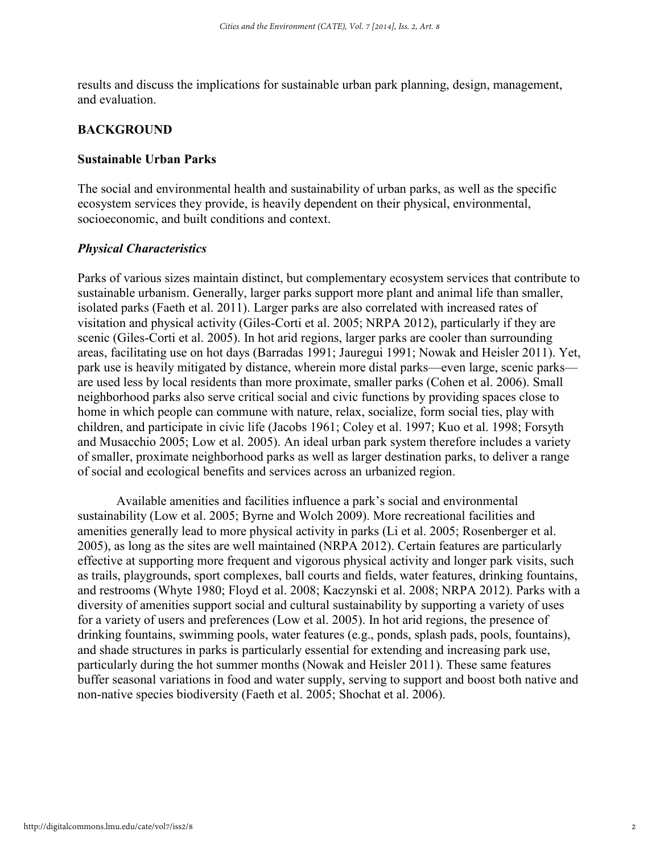results and discuss the implications for sustainable urban park planning, design, management, and evaluation.

#### **BACKGROUND**

#### **Sustainable Urban Parks**

The social and environmental health and sustainability of urban parks, as well as the specific ecosystem services they provide, is heavily dependent on their physical, environmental, socioeconomic, and built conditions and context.

#### *Physical Characteristics*

Parks of various sizes maintain distinct, but complementary ecosystem services that contribute to sustainable urbanism. Generally, larger parks support more plant and animal life than smaller, isolated parks (Faeth et al. 2011). Larger parks are also correlated with increased rates of visitation and physical activity (Giles-Corti et al. 2005; NRPA 2012), particularly if they are scenic (Giles-Corti et al. 2005). In hot arid regions, larger parks are cooler than surrounding areas, facilitating use on hot days (Barradas 1991; Jauregui 1991; Nowak and Heisler 2011). Yet, park use is heavily mitigated by distance, wherein more distal parks—even large, scenic parks are used less by local residents than more proximate, smaller parks (Cohen et al. 2006). Small neighborhood parks also serve critical social and civic functions by providing spaces close to home in which people can commune with nature, relax, socialize, form social ties, play with children, and participate in civic life (Jacobs 1961; Coley et al. 1997; Kuo et al. 1998; Forsyth and Musacchio 2005; Low et al. 2005). An ideal urban park system therefore includes a variety of smaller, proximate neighborhood parks as well as larger destination parks, to deliver a range of social and ecological benefits and services across an urbanized region.

Available amenities and facilities influence a park's social and environmental sustainability (Low et al. 2005; Byrne and Wolch 2009). More recreational facilities and amenities generally lead to more physical activity in parks (Li et al. 2005; Rosenberger et al. 2005), as long as the sites are well maintained (NRPA 2012). Certain features are particularly effective at supporting more frequent and vigorous physical activity and longer park visits, such as trails, playgrounds, sport complexes, ball courts and fields, water features, drinking fountains, and restrooms (Whyte 1980; Floyd et al. 2008; Kaczynski et al. 2008; NRPA 2012). Parks with a diversity of amenities support social and cultural sustainability by supporting a variety of uses for a variety of users and preferences (Low et al. 2005). In hot arid regions, the presence of drinking fountains, swimming pools, water features (e.g., ponds, splash pads, pools, fountains), and shade structures in parks is particularly essential for extending and increasing park use, particularly during the hot summer months (Nowak and Heisler 2011). These same features buffer seasonal variations in food and water supply, serving to support and boost both native and non-native species biodiversity (Faeth et al. 2005; Shochat et al. 2006).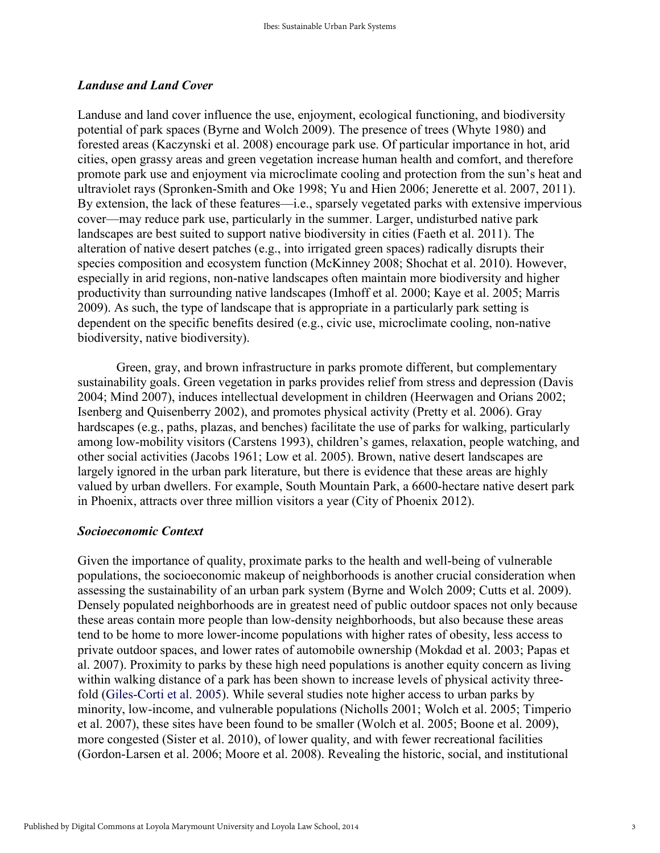#### *Landuse and Land Cover*

Landuse and land cover influence the use, enjoyment, ecological functioning, and biodiversity potential of park spaces (Byrne and Wolch 2009). The presence of trees (Whyte 1980) and forested areas (Kaczynski et al. 2008) encourage park use. Of particular importance in hot, arid cities, open grassy areas and green vegetation increase human health and comfort, and therefore promote park use and enjoyment via microclimate cooling and protection from the sun's heat and ultraviolet rays (Spronken-Smith and Oke 1998; Yu and Hien 2006; Jenerette et al. 2007, 2011). By extension, the lack of these features—i.e., sparsely vegetated parks with extensive impervious cover—may reduce park use, particularly in the summer. Larger, undisturbed native park landscapes are best suited to support native biodiversity in cities (Faeth et al. 2011). The alteration of native desert patches (e.g., into irrigated green spaces) radically disrupts their species composition and ecosystem function (McKinney 2008; Shochat et al. 2010). However, especially in arid regions, non-native landscapes often maintain more biodiversity and higher productivity than surrounding native landscapes (Imhoff et al. 2000; Kaye et al. 2005; Marris 2009). As such, the type of landscape that is appropriate in a particularly park setting is dependent on the specific benefits desired (e.g., civic use, microclimate cooling, non-native biodiversity, native biodiversity).

Green, gray, and brown infrastructure in parks promote different, but complementary sustainability goals. Green vegetation in parks provides relief from stress and depression (Davis 2004; Mind 2007), induces intellectual development in children (Heerwagen and Orians 2002; Isenberg and Quisenberry 2002), and promotes physical activity (Pretty et al. 2006). Gray hardscapes (e.g., paths, plazas, and benches) facilitate the use of parks for walking, particularly among low-mobility visitors (Carstens 1993), children's games, relaxation, people watching, and other social activities (Jacobs 1961; Low et al. 2005). Brown, native desert landscapes are largely ignored in the urban park literature, but there is evidence that these areas are highly valued by urban dwellers. For example, South Mountain Park, a 6600-hectare native desert park in Phoenix, attracts over three million visitors a year (City of Phoenix 2012).

#### *Socioeconomic Context*

Given the importance of quality, proximate parks to the health and well-being of vulnerable populations, the socioeconomic makeup of neighborhoods is another crucial consideration when assessing the sustainability of an urban park system (Byrne and Wolch 2009; Cutts et al. 2009). Densely populated neighborhoods are in greatest need of public outdoor spaces not only because these areas contain more people than low-density neighborhoods, but also because these areas tend to be home to more lower-income populations with higher rates of obesity, less access to private outdoor spaces, and lower rates of automobile ownership (Mokdad et al. 2003; Papas et al. 2007). Proximity to parks by these high need populations is another equity concern as living within walking distance of a park has been shown to increase levels of physical activity threefold (Giles-Corti et al. 2005). While several studies note higher access to urban parks by minority, low-income, and vulnerable populations (Nicholls 2001; Wolch et al. 2005; Timperio et al. 2007), these sites have been found to be smaller (Wolch et al. 2005; Boone et al. 2009), more congested (Sister et al. 2010), of lower quality, and with fewer recreational facilities (Gordon-Larsen et al. 2006; Moore et al. 2008). Revealing the historic, social, and institutional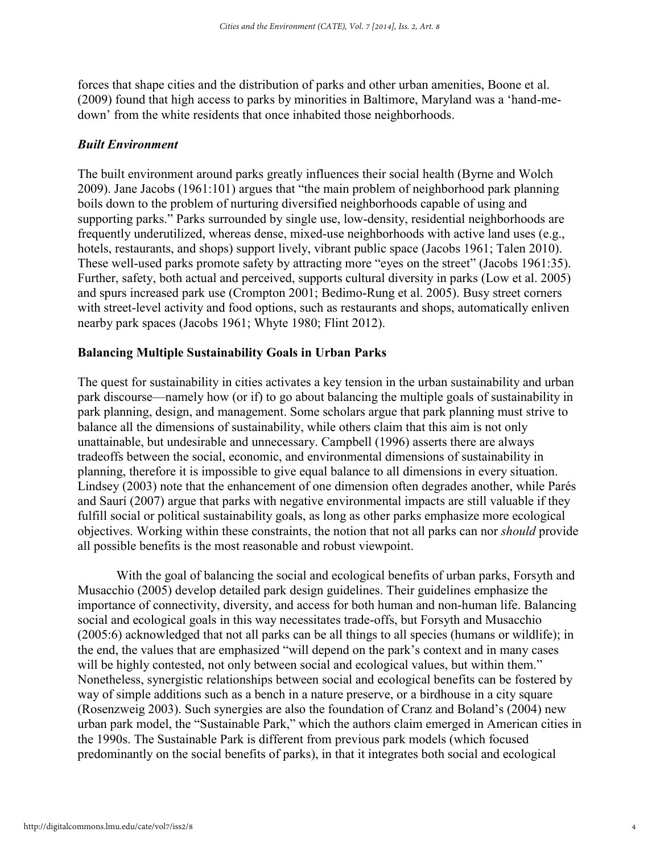forces that shape cities and the distribution of parks and other urban amenities, Boone et al. (2009) found that high access to parks by minorities in Baltimore, Maryland was a 'hand-medown' from the white residents that once inhabited those neighborhoods.

#### *Built Environment*

The built environment around parks greatly influences their social health (Byrne and Wolch 2009). Jane Jacobs (1961:101) argues that "the main problem of neighborhood park planning boils down to the problem of nurturing diversified neighborhoods capable of using and supporting parks." Parks surrounded by single use, low-density, residential neighborhoods are frequently underutilized, whereas dense, mixed-use neighborhoods with active land uses (e.g., hotels, restaurants, and shops) support lively, vibrant public space (Jacobs 1961; Talen 2010). These well-used parks promote safety by attracting more "eyes on the street" (Jacobs 1961:35). Further, safety, both actual and perceived, supports cultural diversity in parks (Low et al. 2005) and spurs increased park use (Crompton 2001; Bedimo-Rung et al. 2005). Busy street corners with street-level activity and food options, such as restaurants and shops, automatically enliven nearby park spaces (Jacobs 1961; Whyte 1980; Flint 2012).

#### **Balancing Multiple Sustainability Goals in Urban Parks**

The quest for sustainability in cities activates a key tension in the urban sustainability and urban park discourse—namely how (or if) to go about balancing the multiple goals of sustainability in park planning, design, and management. Some scholars argue that park planning must strive to balance all the dimensions of sustainability, while others claim that this aim is not only unattainable, but undesirable and unnecessary. Campbell (1996) asserts there are always tradeoffs between the social, economic, and environmental dimensions of sustainability in planning, therefore it is impossible to give equal balance to all dimensions in every situation. Lindsey (2003) note that the enhancement of one dimension often degrades another, while Parés and Saurí (2007) argue that parks with negative environmental impacts are still valuable if they fulfill social or political sustainability goals, as long as other parks emphasize more ecological objectives. Working within these constraints, the notion that not all parks can nor *should* provide all possible benefits is the most reasonable and robust viewpoint.

 With the goal of balancing the social and ecological benefits of urban parks, Forsyth and Musacchio (2005) develop detailed park design guidelines. Their guidelines emphasize the importance of connectivity, diversity, and access for both human and non-human life. Balancing social and ecological goals in this way necessitates trade-offs, but Forsyth and Musacchio (2005:6) acknowledged that not all parks can be all things to all species (humans or wildlife); in the end, the values that are emphasized "will depend on the park's context and in many cases will be highly contested, not only between social and ecological values, but within them." Nonetheless, synergistic relationships between social and ecological benefits can be fostered by way of simple additions such as a bench in a nature preserve, or a birdhouse in a city square (Rosenzweig 2003). Such synergies are also the foundation of Cranz and Boland's (2004) new urban park model, the "Sustainable Park," which the authors claim emerged in American cities in the 1990s. The Sustainable Park is different from previous park models (which focused predominantly on the social benefits of parks), in that it integrates both social and ecological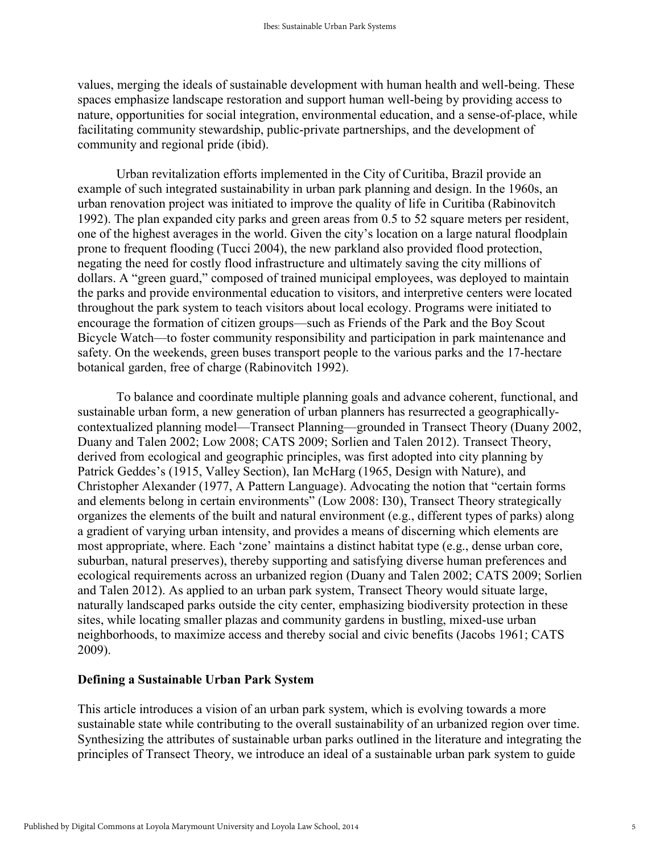values, merging the ideals of sustainable development with human health and well-being. These spaces emphasize landscape restoration and support human well-being by providing access to nature, opportunities for social integration, environmental education, and a sense-of-place, while facilitating community stewardship, public-private partnerships, and the development of community and regional pride (ibid).

 Urban revitalization efforts implemented in the City of Curitiba, Brazil provide an example of such integrated sustainability in urban park planning and design. In the 1960s, an urban renovation project was initiated to improve the quality of life in Curitiba (Rabinovitch 1992). The plan expanded city parks and green areas from 0.5 to 52 square meters per resident, one of the highest averages in the world. Given the city's location on a large natural floodplain prone to frequent flooding (Tucci 2004), the new parkland also provided flood protection, negating the need for costly flood infrastructure and ultimately saving the city millions of dollars. A "green guard," composed of trained municipal employees, was deployed to maintain the parks and provide environmental education to visitors, and interpretive centers were located throughout the park system to teach visitors about local ecology. Programs were initiated to encourage the formation of citizen groups—such as Friends of the Park and the Boy Scout Bicycle Watch—to foster community responsibility and participation in park maintenance and safety. On the weekends, green buses transport people to the various parks and the 17-hectare botanical garden, free of charge (Rabinovitch 1992).

To balance and coordinate multiple planning goals and advance coherent, functional, and sustainable urban form, a new generation of urban planners has resurrected a geographicallycontextualized planning model—Transect Planning—grounded in Transect Theory (Duany 2002, Duany and Talen 2002; Low 2008; CATS 2009; Sorlien and Talen 2012). Transect Theory, derived from ecological and geographic principles, was first adopted into city planning by Patrick Geddes's (1915, Valley Section), Ian McHarg (1965, Design with Nature), and Christopher Alexander (1977, A Pattern Language). Advocating the notion that "certain forms and elements belong in certain environments" (Low 2008: I30), Transect Theory strategically organizes the elements of the built and natural environment (e.g., different types of parks) along a gradient of varying urban intensity, and provides a means of discerning which elements are most appropriate, where. Each 'zone' maintains a distinct habitat type (e.g., dense urban core, suburban, natural preserves), thereby supporting and satisfying diverse human preferences and ecological requirements across an urbanized region (Duany and Talen 2002; CATS 2009; Sorlien and Talen 2012). As applied to an urban park system, Transect Theory would situate large, naturally landscaped parks outside the city center, emphasizing biodiversity protection in these sites, while locating smaller plazas and community gardens in bustling, mixed-use urban neighborhoods, to maximize access and thereby social and civic benefits (Jacobs 1961; CATS 2009).

#### **Defining a Sustainable Urban Park System**

This article introduces a vision of an urban park system, which is evolving towards a more sustainable state while contributing to the overall sustainability of an urbanized region over time. Synthesizing the attributes of sustainable urban parks outlined in the literature and integrating the principles of Transect Theory, we introduce an ideal of a sustainable urban park system to guide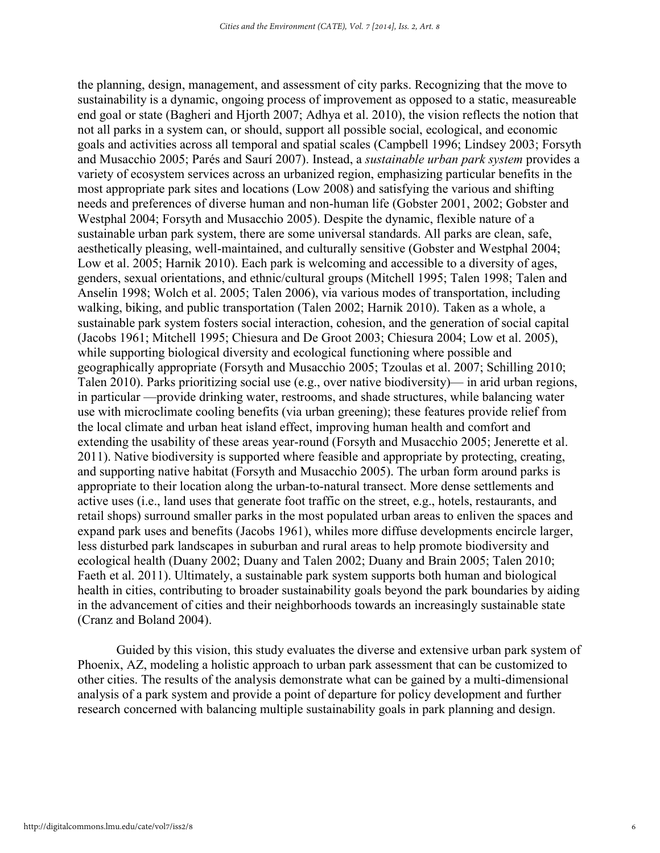the planning, design, management, and assessment of city parks. Recognizing that the move to sustainability is a dynamic, ongoing process of improvement as opposed to a static, measureable end goal or state (Bagheri and Hjorth 2007; Adhya et al. 2010), the vision reflects the notion that not all parks in a system can, or should, support all possible social, ecological, and economic goals and activities across all temporal and spatial scales (Campbell 1996; Lindsey 2003; Forsyth and Musacchio 2005; Parés and Saurí 2007). Instead, a *sustainable urban park system* provides a variety of ecosystem services across an urbanized region, emphasizing particular benefits in the most appropriate park sites and locations (Low 2008) and satisfying the various and shifting needs and preferences of diverse human and non-human life (Gobster 2001, 2002; Gobster and Westphal 2004; Forsyth and Musacchio 2005). Despite the dynamic, flexible nature of a sustainable urban park system, there are some universal standards. All parks are clean, safe, aesthetically pleasing, well-maintained, and culturally sensitive (Gobster and Westphal 2004; Low et al. 2005; Harnik 2010). Each park is welcoming and accessible to a diversity of ages, genders, sexual orientations, and ethnic/cultural groups (Mitchell 1995; Talen 1998; Talen and Anselin 1998; Wolch et al. 2005; Talen 2006), via various modes of transportation, including walking, biking, and public transportation (Talen 2002; Harnik 2010). Taken as a whole, a sustainable park system fosters social interaction, cohesion, and the generation of social capital (Jacobs 1961; Mitchell 1995; Chiesura and De Groot 2003; Chiesura 2004; Low et al. 2005), while supporting biological diversity and ecological functioning where possible and geographically appropriate (Forsyth and Musacchio 2005; Tzoulas et al. 2007; Schilling 2010; Talen 2010). Parks prioritizing social use (e.g., over native biodiversity)— in arid urban regions, in particular —provide drinking water, restrooms, and shade structures, while balancing water use with microclimate cooling benefits (via urban greening); these features provide relief from the local climate and urban heat island effect, improving human health and comfort and extending the usability of these areas year-round (Forsyth and Musacchio 2005; Jenerette et al. 2011). Native biodiversity is supported where feasible and appropriate by protecting, creating, and supporting native habitat (Forsyth and Musacchio 2005). The urban form around parks is appropriate to their location along the urban-to-natural transect. More dense settlements and active uses (i.e., land uses that generate foot traffic on the street, e.g., hotels, restaurants, and retail shops) surround smaller parks in the most populated urban areas to enliven the spaces and expand park uses and benefits (Jacobs 1961), whiles more diffuse developments encircle larger, less disturbed park landscapes in suburban and rural areas to help promote biodiversity and ecological health (Duany 2002; Duany and Talen 2002; Duany and Brain 2005; Talen 2010; Faeth et al. 2011). Ultimately, a sustainable park system supports both human and biological health in cities, contributing to broader sustainability goals beyond the park boundaries by aiding in the advancement of cities and their neighborhoods towards an increasingly sustainable state (Cranz and Boland 2004).

 Guided by this vision, this study evaluates the diverse and extensive urban park system of Phoenix, AZ, modeling a holistic approach to urban park assessment that can be customized to other cities. The results of the analysis demonstrate what can be gained by a multi-dimensional analysis of a park system and provide a point of departure for policy development and further research concerned with balancing multiple sustainability goals in park planning and design.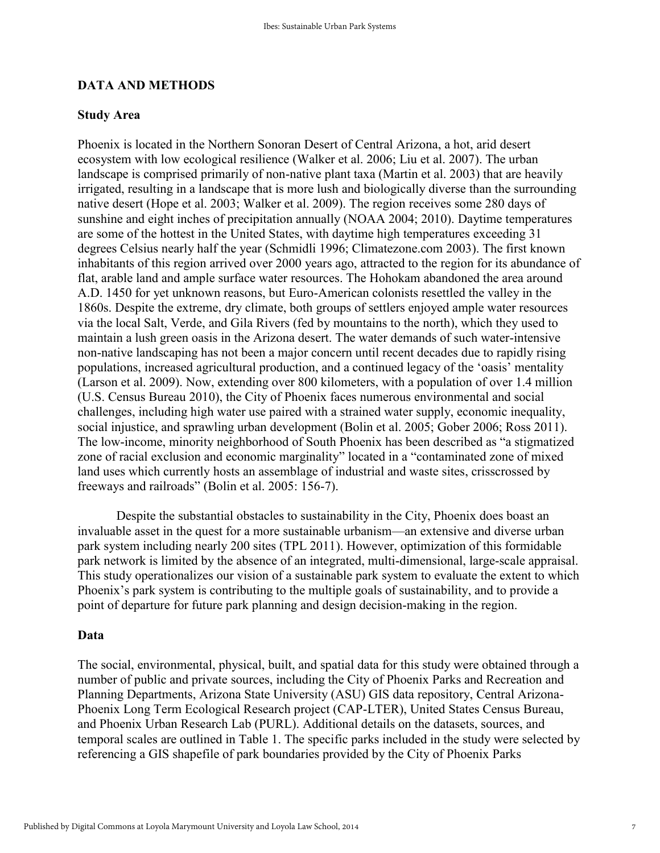#### **DATA AND METHODS**

#### **Study Area**

Phoenix is located in the Northern Sonoran Desert of Central Arizona, a hot, arid desert ecosystem with low ecological resilience (Walker et al. 2006; Liu et al. 2007). The urban landscape is comprised primarily of non-native plant taxa (Martin et al. 2003) that are heavily irrigated, resulting in a landscape that is more lush and biologically diverse than the surrounding native desert (Hope et al. 2003; Walker et al. 2009). The region receives some 280 days of sunshine and eight inches of precipitation annually (NOAA 2004; 2010). Daytime temperatures are some of the hottest in the United States, with daytime high temperatures exceeding 31 degrees Celsius nearly half the year (Schmidli 1996; Climatezone.com 2003). The first known inhabitants of this region arrived over 2000 years ago, attracted to the region for its abundance of flat, arable land and ample surface water resources. The Hohokam abandoned the area around A.D. 1450 for yet unknown reasons, but Euro-American colonists resettled the valley in the 1860s. Despite the extreme, dry climate, both groups of settlers enjoyed ample water resources via the local Salt, Verde, and Gila Rivers (fed by mountains to the north), which they used to maintain a lush green oasis in the Arizona desert. The water demands of such water-intensive non-native landscaping has not been a major concern until recent decades due to rapidly rising populations, increased agricultural production, and a continued legacy of the 'oasis' mentality (Larson et al. 2009). Now, extending over 800 kilometers, with a population of over 1.4 million (U.S. Census Bureau 2010), the City of Phoenix faces numerous environmental and social challenges, including high water use paired with a strained water supply, economic inequality, social injustice, and sprawling urban development (Bolin et al. 2005; Gober 2006; Ross 2011). The low-income, minority neighborhood of South Phoenix has been described as "a stigmatized zone of racial exclusion and economic marginality" located in a "contaminated zone of mixed land uses which currently hosts an assemblage of industrial and waste sites, crisscrossed by freeways and railroads" (Bolin et al. 2005: 156-7).

Despite the substantial obstacles to sustainability in the City, Phoenix does boast an invaluable asset in the quest for a more sustainable urbanism—an extensive and diverse urban park system including nearly 200 sites (TPL 2011). However, optimization of this formidable park network is limited by the absence of an integrated, multi-dimensional, large-scale appraisal. This study operationalizes our vision of a sustainable park system to evaluate the extent to which Phoenix's park system is contributing to the multiple goals of sustainability, and to provide a point of departure for future park planning and design decision-making in the region.

#### **Data**

The social, environmental, physical, built, and spatial data for this study were obtained through a number of public and private sources, including the City of Phoenix Parks and Recreation and Planning Departments, Arizona State University (ASU) GIS data repository, Central Arizona-Phoenix Long Term Ecological Research project (CAP-LTER), United States Census Bureau, and Phoenix Urban Research Lab (PURL). Additional details on the datasets, sources, and temporal scales are outlined in Table 1. The specific parks included in the study were selected by referencing a GIS shapefile of park boundaries provided by the City of Phoenix Parks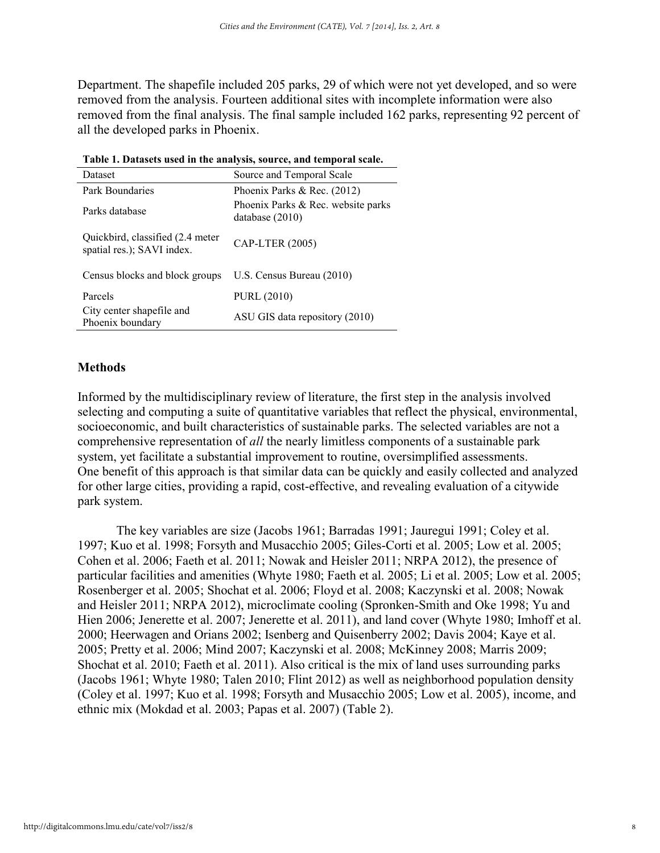Department. The shapefile included 205 parks, 29 of which were not yet developed, and so were removed from the analysis. Fourteen additional sites with incomplete information were also removed from the final analysis. The final sample included 162 parks, representing 92 percent of all the developed parks in Phoenix.

| Dataset                                                         | Source and Temporal Scale                               |
|-----------------------------------------------------------------|---------------------------------------------------------|
| Park Boundaries                                                 | Phoenix Parks & Rec. $(2012)$                           |
| Parks database                                                  | Phoenix Parks & Rec. website parks<br>database $(2010)$ |
| Quickbird, classified (2.4 meter)<br>spatial res.); SAVI index. | CAP-LTER (2005)                                         |
| Census blocks and block groups                                  | U.S. Census Bureau (2010)                               |
| Parcels                                                         | <b>PURL (2010)</b>                                      |
| City center shapefile and<br>Phoenix boundary                   | ASU GIS data repository (2010)                          |

#### **Methods**

Informed by the multidisciplinary review of literature, the first step in the analysis involved selecting and computing a suite of quantitative variables that reflect the physical, environmental, socioeconomic, and built characteristics of sustainable parks. The selected variables are not a comprehensive representation of *all* the nearly limitless components of a sustainable park system, yet facilitate a substantial improvement to routine, oversimplified assessments. One benefit of this approach is that similar data can be quickly and easily collected and analyzed for other large cities, providing a rapid, cost-effective, and revealing evaluation of a citywide park system.

The key variables are size (Jacobs 1961; Barradas 1991; Jauregui 1991; Coley et al. 1997; Kuo et al. 1998; Forsyth and Musacchio 2005; Giles-Corti et al. 2005; Low et al. 2005; Cohen et al. 2006; Faeth et al. 2011; Nowak and Heisler 2011; NRPA 2012), the presence of particular facilities and amenities (Whyte 1980; Faeth et al. 2005; Li et al. 2005; Low et al. 2005; Rosenberger et al. 2005; Shochat et al. 2006; Floyd et al. 2008; Kaczynski et al. 2008; Nowak and Heisler 2011; NRPA 2012), microclimate cooling (Spronken-Smith and Oke 1998; Yu and Hien 2006; Jenerette et al. 2007; Jenerette et al. 2011), and land cover (Whyte 1980; Imhoff et al. 2000; Heerwagen and Orians 2002; Isenberg and Quisenberry 2002; Davis 2004; Kaye et al. 2005; Pretty et al. 2006; Mind 2007; Kaczynski et al. 2008; McKinney 2008; Marris 2009; Shochat et al. 2010; Faeth et al. 2011). Also critical is the mix of land uses surrounding parks (Jacobs 1961; Whyte 1980; Talen 2010; Flint 2012) as well as neighborhood population density (Coley et al. 1997; Kuo et al. 1998; Forsyth and Musacchio 2005; Low et al. 2005), income, and ethnic mix (Mokdad et al. 2003; Papas et al. 2007) (Table 2).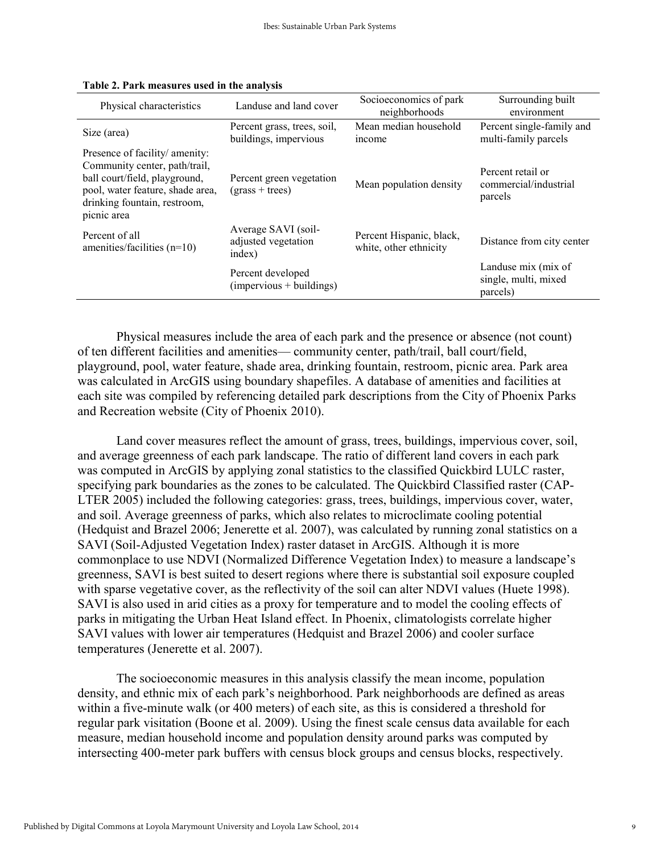| Physical characteristics                                                                                                                                                            | Landuse and land cover                               | Socioeconomics of park<br>neighborhoods            | Surrounding built<br>environment                        |
|-------------------------------------------------------------------------------------------------------------------------------------------------------------------------------------|------------------------------------------------------|----------------------------------------------------|---------------------------------------------------------|
| Size (area)                                                                                                                                                                         | Percent grass, trees, soil,<br>buildings, impervious | Mean median household<br>income                    | Percent single-family and<br>multi-family parcels       |
| Presence of facility/ amenity:<br>Community center, path/trail,<br>ball court/field, playground,<br>pool, water feature, shade area,<br>drinking fountain, restroom,<br>picnic area | Percent green vegetation<br>$(grass + trees)$        | Mean population density                            | Percent retail or<br>commercial/industrial<br>parcels   |
| Percent of all<br>amenties/facilities $(n=10)$                                                                                                                                      | Average SAVI (soil-<br>adjusted vegetation<br>index) | Percent Hispanic, black,<br>white, other ethnicity | Distance from city center                               |
|                                                                                                                                                                                     | Percent developed<br>$(impervious + buildings)$      |                                                    | Landuse mix (mix of<br>single, multi, mixed<br>parcels) |

|  |  | Table 2. Park measures used in the analysis |  |  |  |  |
|--|--|---------------------------------------------|--|--|--|--|
|--|--|---------------------------------------------|--|--|--|--|

Physical measures include the area of each park and the presence or absence (not count) of ten different facilities and amenities— community center, path/trail, ball court/field, playground, pool, water feature, shade area, drinking fountain, restroom, picnic area. Park area was calculated in ArcGIS using boundary shapefiles. A database of amenities and facilities at each site was compiled by referencing detailed park descriptions from the City of Phoenix Parks and Recreation website (City of Phoenix 2010).

 Land cover measures reflect the amount of grass, trees, buildings, impervious cover, soil, and average greenness of each park landscape. The ratio of different land covers in each park was computed in ArcGIS by applying zonal statistics to the classified Quickbird LULC raster, specifying park boundaries as the zones to be calculated. The Quickbird Classified raster (CAP-LTER 2005) included the following categories: grass, trees, buildings, impervious cover, water, and soil. Average greenness of parks, which also relates to microclimate cooling potential (Hedquist and Brazel 2006; Jenerette et al. 2007), was calculated by running zonal statistics on a SAVI (Soil-Adjusted Vegetation Index) raster dataset in ArcGIS. Although it is more commonplace to use NDVI (Normalized Difference Vegetation Index) to measure a landscape's greenness, SAVI is best suited to desert regions where there is substantial soil exposure coupled with sparse vegetative cover, as the reflectivity of the soil can alter NDVI values (Huete 1998). SAVI is also used in arid cities as a proxy for temperature and to model the cooling effects of parks in mitigating the Urban Heat Island effect. In Phoenix, climatologists correlate higher SAVI values with lower air temperatures (Hedquist and Brazel 2006) and cooler surface temperatures (Jenerette et al. 2007).

 The socioeconomic measures in this analysis classify the mean income, population density, and ethnic mix of each park's neighborhood. Park neighborhoods are defined as areas within a five-minute walk (or 400 meters) of each site, as this is considered a threshold for regular park visitation (Boone et al. 2009). Using the finest scale census data available for each measure, median household income and population density around parks was computed by intersecting 400-meter park buffers with census block groups and census blocks, respectively.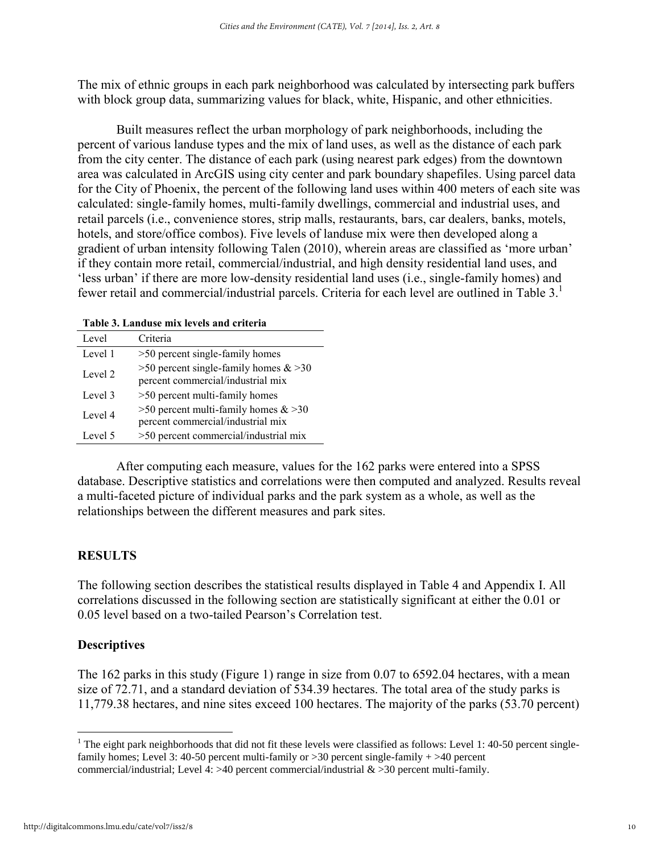The mix of ethnic groups in each park neighborhood was calculated by intersecting park buffers with block group data, summarizing values for black, white, Hispanic, and other ethnicities.

 Built measures reflect the urban morphology of park neighborhoods, including the percent of various landuse types and the mix of land uses, as well as the distance of each park from the city center. The distance of each park (using nearest park edges) from the downtown area was calculated in ArcGIS using city center and park boundary shapefiles. Using parcel data for the City of Phoenix, the percent of the following land uses within 400 meters of each site was calculated: single-family homes, multi-family dwellings, commercial and industrial uses, and retail parcels (i.e., convenience stores, strip malls, restaurants, bars, car dealers, banks, motels, hotels, and store/office combos). Five levels of landuse mix were then developed along a gradient of urban intensity following Talen (2010), wherein areas are classified as 'more urban' if they contain more retail, commercial/industrial, and high density residential land uses, and 'less urban' if there are more low-density residential land uses (i.e., single-family homes) and fewer retail and commercial/industrial parcels. Criteria for each level are outlined in Table 3.<sup>1</sup>

| Table 3. Landuse mix levels and criteria |  |  |
|------------------------------------------|--|--|
|                                          |  |  |

| Level   | Criteria                                                                     |
|---------|------------------------------------------------------------------------------|
| Level 1 | >50 percent single-family homes                                              |
| Level 2 | >50 percent single-family homes $&820$<br>percent commercial/industrial mix  |
| Level 3 | >50 percent multi-family homes                                               |
| Level 4 | $>50$ percent multi-family homes $& 30$<br>percent commercial/industrial mix |
| Level 5 | >50 percent commercial/industrial mix                                        |

After computing each measure, values for the 162 parks were entered into a SPSS database. Descriptive statistics and correlations were then computed and analyzed. Results reveal a multi-faceted picture of individual parks and the park system as a whole, as well as the relationships between the different measures and park sites.

#### **RESULTS**

The following section describes the statistical results displayed in Table 4 and Appendix I. All correlations discussed in the following section are statistically significant at either the 0.01 or 0.05 level based on a two-tailed Pearson's Correlation test.

#### **Descriptives**

The 162 parks in this study (Figure 1) range in size from 0.07 to 6592.04 hectares, with a mean size of 72.71, and a standard deviation of 534.39 hectares. The total area of the study parks is 11,779.38 hectares, and nine sites exceed 100 hectares. The majority of the parks (53.70 percent)

 $\overline{a}$ 

<sup>&</sup>lt;sup>1</sup> The eight park neighborhoods that did not fit these levels were classified as follows: Level 1: 40-50 percent singlefamily homes; Level 3: 40-50 percent multi-family or >30 percent single-family + >40 percent commercial/industrial; Level 4: >40 percent commercial/industrial  $&$  >30 percent multi-family.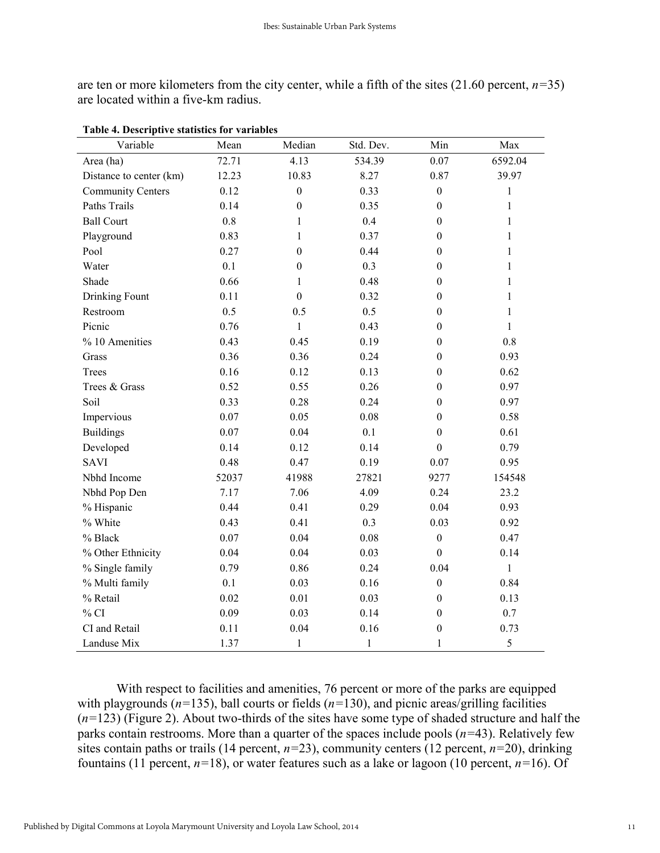are ten or more kilometers from the city center, while a fifth of the sites (21.60 percent, *n=*35) are located within a five-km radius.

| Variable                 | Mean     | Median           | Std. Dev. | Min              | Max          |
|--------------------------|----------|------------------|-----------|------------------|--------------|
| Area (ha)                | 72.71    | 4.13             | 534.39    | 0.07             | 6592.04      |
| Distance to center (km)  | 12.23    | 10.83            | 8.27      | 0.87             | 39.97        |
| <b>Community Centers</b> | 0.12     | $\boldsymbol{0}$ | 0.33      | $\boldsymbol{0}$ | 1            |
| <b>Paths Trails</b>      | 0.14     | $\boldsymbol{0}$ | 0.35      | $\boldsymbol{0}$ | $\mathbf{1}$ |
| <b>Ball Court</b>        | 0.8      | $\mathbf{1}$     | 0.4       | $\boldsymbol{0}$ | $\mathbf{1}$ |
| Playground               | 0.83     | $\mathbf{1}$     | 0.37      | $\boldsymbol{0}$ | 1            |
| Pool                     | 0.27     | $\boldsymbol{0}$ | 0.44      | $\boldsymbol{0}$ | $\mathbf{1}$ |
| Water                    | 0.1      | $\boldsymbol{0}$ | 0.3       | $\Omega$         | 1            |
| Shade                    | 0.66     | $\mathbf{1}$     | 0.48      | $\boldsymbol{0}$ | 1            |
| Drinking Fount           | 0.11     | $\boldsymbol{0}$ | 0.32      | $\boldsymbol{0}$ | $\mathbf{1}$ |
| Restroom                 | 0.5      | 0.5              | 0.5       | $\boldsymbol{0}$ | $\mathbf{1}$ |
| Picnic                   | 0.76     | $\mathbf{1}$     | 0.43      | $\boldsymbol{0}$ | $\mathbf{1}$ |
| % 10 Amenities           | 0.43     | 0.45             | 0.19      | $\boldsymbol{0}$ | 0.8          |
| Grass                    | 0.36     | 0.36             | 0.24      | $\theta$         | 0.93         |
| Trees                    | 0.16     | 0.12             | 0.13      | $\boldsymbol{0}$ | 0.62         |
| Trees & Grass            | 0.52     | 0.55             | 0.26      | $\boldsymbol{0}$ | 0.97         |
| Soil                     | 0.33     | 0.28             | 0.24      | $\boldsymbol{0}$ | 0.97         |
| Impervious               | $0.07\,$ | 0.05             | 0.08      | $\boldsymbol{0}$ | 0.58         |
| <b>Buildings</b>         | 0.07     | 0.04             | 0.1       | $\boldsymbol{0}$ | 0.61         |
| Developed                | 0.14     | 0.12             | 0.14      | $\boldsymbol{0}$ | 0.79         |
| <b>SAVI</b>              | 0.48     | 0.47             | 0.19      | 0.07             | 0.95         |
| Nbhd Income              | 52037    | 41988            | 27821     | 9277             | 154548       |
| Nbhd Pop Den             | 7.17     | 7.06             | 4.09      | 0.24             | 23.2         |
| % Hispanic               | 0.44     | 0.41             | 0.29      | 0.04             | 0.93         |
| % White                  | 0.43     | 0.41             | 0.3       | 0.03             | 0.92         |
| % Black                  | 0.07     | 0.04             | 0.08      | $\boldsymbol{0}$ | 0.47         |
| % Other Ethnicity        | 0.04     | 0.04             | 0.03      | $\boldsymbol{0}$ | 0.14         |
| % Single family          | 0.79     | 0.86             | 0.24      | 0.04             | $\mathbf{1}$ |
| % Multi family           | 0.1      | 0.03             | 0.16      | $\boldsymbol{0}$ | 0.84         |
| % Retail                 | 0.02     | 0.01             | 0.03      | $\boldsymbol{0}$ | 0.13         |
| % CI                     | 0.09     | 0.03             | 0.14      | $\boldsymbol{0}$ | 0.7          |
| CI and Retail            | 0.11     | 0.04             | 0.16      | $\boldsymbol{0}$ | 0.73         |
| Landuse Mix              | 1.37     | $\mathbf{1}$     | $\,1$     | $\mathbf{1}$     | 5            |

**Table 4. Descriptive statistics for variables**

With respect to facilities and amenities, 76 percent or more of the parks are equipped with playgrounds (*n=*135), ball courts or fields (*n=*130), and picnic areas/grilling facilities (*n=*123) (Figure 2). About two-thirds of the sites have some type of shaded structure and half the parks contain restrooms. More than a quarter of the spaces include pools (*n=*43). Relatively few sites contain paths or trails (14 percent,  $n=23$ ), community centers (12 percent,  $n=20$ ), drinking fountains (11 percent, *n=*18), or water features such as a lake or lagoon (10 percent, *n=*16). Of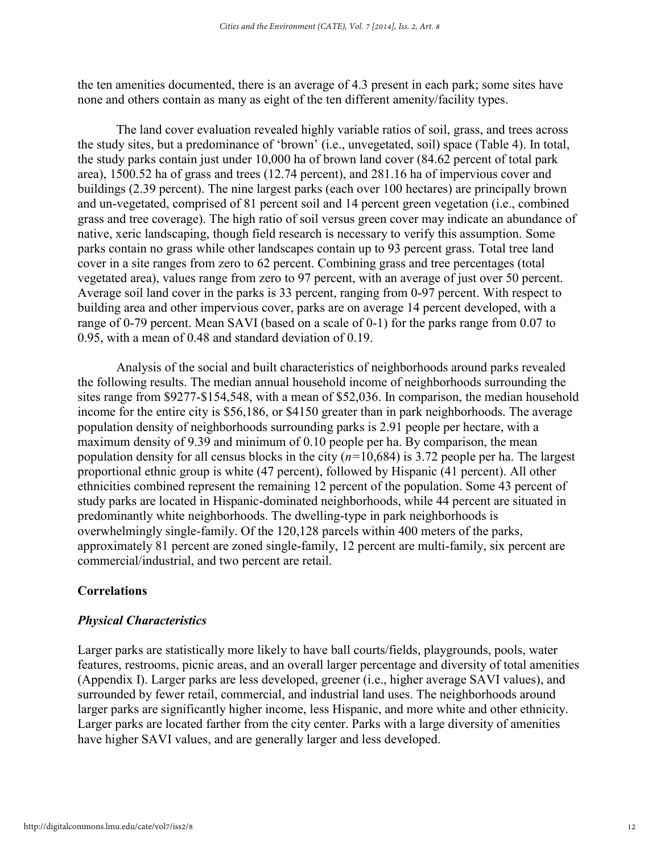the ten amenities documented, there is an average of 4.3 present in each park; some sites have none and others contain as many as eight of the ten different amenity/facility types.

The land cover evaluation revealed highly variable ratios of soil, grass, and trees across the study sites, but a predominance of 'brown' (i.e., unvegetated, soil) space (Table 4). In total, the study parks contain just under 10,000 ha of brown land cover (84.62 percent of total park area), 1500.52 ha of grass and trees (12.74 percent), and 281.16 ha of impervious cover and buildings (2.39 percent). The nine largest parks (each over 100 hectares) are principally brown and un-vegetated, comprised of 81 percent soil and 14 percent green vegetation (i.e., combined grass and tree coverage). The high ratio of soil versus green cover may indicate an abundance of native, xeric landscaping, though field research is necessary to verify this assumption. Some parks contain no grass while other landscapes contain up to 93 percent grass. Total tree land cover in a site ranges from zero to 62 percent. Combining grass and tree percentages (total vegetated area), values range from zero to 97 percent, with an average of just over 50 percent. Average soil land cover in the parks is 33 percent, ranging from 0-97 percent. With respect to building area and other impervious cover, parks are on average 14 percent developed, with a range of 0-79 percent. Mean SAVI (based on a scale of 0-1) for the parks range from 0.07 to 0.95, with a mean of 0.48 and standard deviation of 0.19.

Analysis of the social and built characteristics of neighborhoods around parks revealed the following results. The median annual household income of neighborhoods surrounding the sites range from \$9277-\$154,548, with a mean of \$52,036. In comparison, the median household income for the entire city is \$56,186, or \$4150 greater than in park neighborhoods. The average population density of neighborhoods surrounding parks is 2.91 people per hectare, with a maximum density of 9.39 and minimum of 0.10 people per ha. By comparison, the mean population density for all census blocks in the city (*n=*10,684) is 3.72 people per ha. The largest proportional ethnic group is white (47 percent), followed by Hispanic (41 percent). All other ethnicities combined represent the remaining 12 percent of the population. Some 43 percent of study parks are located in Hispanic-dominated neighborhoods, while 44 percent are situated in predominantly white neighborhoods. The dwelling-type in park neighborhoods is overwhelmingly single-family. Of the 120,128 parcels within 400 meters of the parks, approximately 81 percent are zoned single-family, 12 percent are multi-family, six percent are commercial/industrial, and two percent are retail.

#### **Correlations**

#### *Physical Characteristics*

Larger parks are statistically more likely to have ball courts/fields, playgrounds, pools, water features, restrooms, picnic areas, and an overall larger percentage and diversity of total amenities (Appendix I). Larger parks are less developed, greener (i.e., higher average SAVI values), and surrounded by fewer retail, commercial, and industrial land uses. The neighborhoods around larger parks are significantly higher income, less Hispanic, and more white and other ethnicity. Larger parks are located farther from the city center. Parks with a large diversity of amenities have higher SAVI values, and are generally larger and less developed.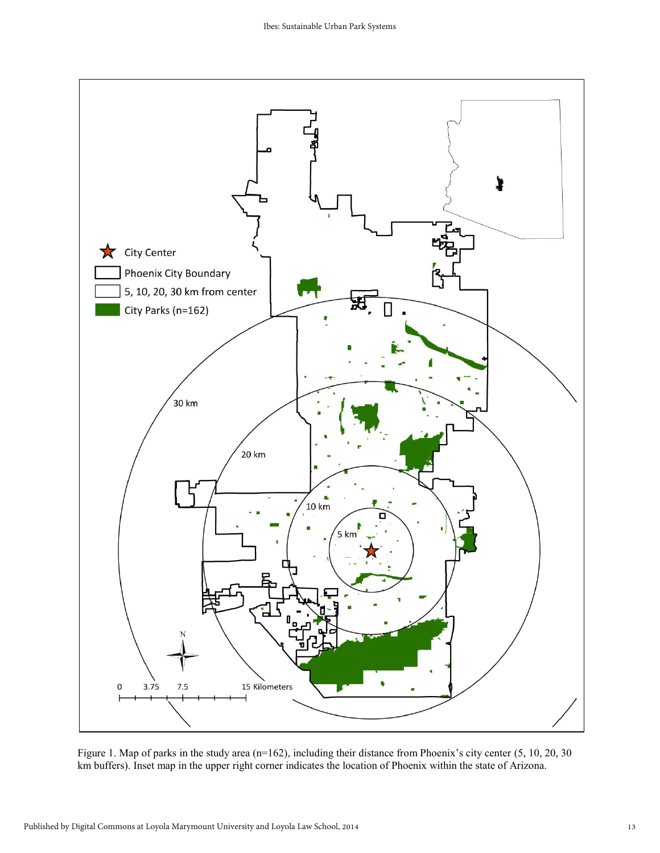

Figure 1. Map of parks in the study area (n=162), including their distance from Phoenix's city center (5, 10, 20, 30 km buffers). Inset map in the upper right corner indicates the location of Phoenix within the state of Arizona.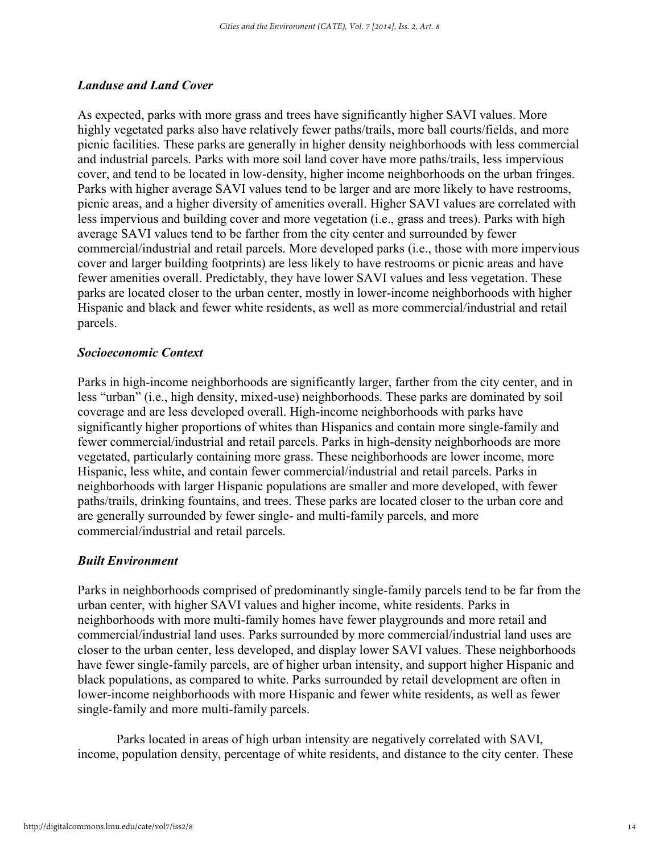#### *Landuse and Land Cover*

As expected, parks with more grass and trees have significantly higher SAVI values. More highly vegetated parks also have relatively fewer paths/trails, more ball courts/fields, and more picnic facilities. These parks are generally in higher density neighborhoods with less commercial and industrial parcels. Parks with more soil land cover have more paths/trails, less impervious cover, and tend to be located in low-density, higher income neighborhoods on the urban fringes. Parks with higher average SAVI values tend to be larger and are more likely to have restrooms, picnic areas, and a higher diversity of amenities overall. Higher SAVI values are correlated with less impervious and building cover and more vegetation (i.e., grass and trees). Parks with high average SAVI values tend to be farther from the city center and surrounded by fewer commercial/industrial and retail parcels. More developed parks (i.e., those with more impervious cover and larger building footprints) are less likely to have restrooms or picnic areas and have fewer amenities overall. Predictably, they have lower SAVI values and less vegetation. These parks are located closer to the urban center, mostly in lower-income neighborhoods with higher Hispanic and black and fewer white residents, as well as more commercial/industrial and retail parcels.

#### *Socioeconomic Context*

Parks in high-income neighborhoods are significantly larger, farther from the city center, and in less "urban" (i.e., high density, mixed-use) neighborhoods. These parks are dominated by soil coverage and are less developed overall. High-income neighborhoods with parks have significantly higher proportions of whites than Hispanics and contain more single-family and fewer commercial/industrial and retail parcels. Parks in high-density neighborhoods are more vegetated, particularly containing more grass. These neighborhoods are lower income, more Hispanic, less white, and contain fewer commercial/industrial and retail parcels. Parks in neighborhoods with larger Hispanic populations are smaller and more developed, with fewer paths/trails, drinking fountains, and trees. These parks are located closer to the urban core and are generally surrounded by fewer single- and multi-family parcels, and more commercial/industrial and retail parcels.

#### *Built Environment*

Parks in neighborhoods comprised of predominantly single-family parcels tend to be far from the urban center, with higher SAVI values and higher income, white residents. Parks in neighborhoods with more multi-family homes have fewer playgrounds and more retail and commercial/industrial land uses. Parks surrounded by more commercial/industrial land uses are closer to the urban center, less developed, and display lower SAVI values. These neighborhoods have fewer single-family parcels, are of higher urban intensity, and support higher Hispanic and black populations, as compared to white. Parks surrounded by retail development are often in lower-income neighborhoods with more Hispanic and fewer white residents, as well as fewer single-family and more multi-family parcels.

 Parks located in areas of high urban intensity are negatively correlated with SAVI, income, population density, percentage of white residents, and distance to the city center. These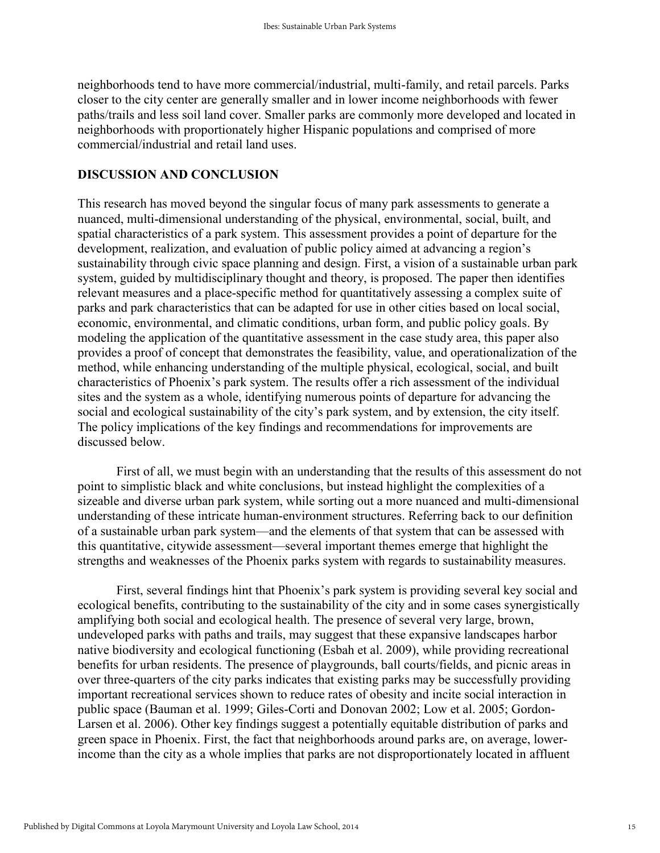neighborhoods tend to have more commercial/industrial, multi-family, and retail parcels. Parks closer to the city center are generally smaller and in lower income neighborhoods with fewer paths/trails and less soil land cover. Smaller parks are commonly more developed and located in neighborhoods with proportionately higher Hispanic populations and comprised of more commercial/industrial and retail land uses.

#### **DISCUSSION AND CONCLUSION**

This research has moved beyond the singular focus of many park assessments to generate a nuanced, multi-dimensional understanding of the physical, environmental, social, built, and spatial characteristics of a park system. This assessment provides a point of departure for the development, realization, and evaluation of public policy aimed at advancing a region's sustainability through civic space planning and design. First, a vision of a sustainable urban park system, guided by multidisciplinary thought and theory, is proposed. The paper then identifies relevant measures and a place-specific method for quantitatively assessing a complex suite of parks and park characteristics that can be adapted for use in other cities based on local social, economic, environmental, and climatic conditions, urban form, and public policy goals. By modeling the application of the quantitative assessment in the case study area, this paper also provides a proof of concept that demonstrates the feasibility, value, and operationalization of the method, while enhancing understanding of the multiple physical, ecological, social, and built characteristics of Phoenix's park system. The results offer a rich assessment of the individual sites and the system as a whole, identifying numerous points of departure for advancing the social and ecological sustainability of the city's park system, and by extension, the city itself. The policy implications of the key findings and recommendations for improvements are discussed below.

First of all, we must begin with an understanding that the results of this assessment do not point to simplistic black and white conclusions, but instead highlight the complexities of a sizeable and diverse urban park system, while sorting out a more nuanced and multi-dimensional understanding of these intricate human-environment structures. Referring back to our definition of a sustainable urban park system—and the elements of that system that can be assessed with this quantitative, citywide assessment—several important themes emerge that highlight the strengths and weaknesses of the Phoenix parks system with regards to sustainability measures.

First, several findings hint that Phoenix's park system is providing several key social and ecological benefits, contributing to the sustainability of the city and in some cases synergistically amplifying both social and ecological health. The presence of several very large, brown, undeveloped parks with paths and trails, may suggest that these expansive landscapes harbor native biodiversity and ecological functioning (Esbah et al. 2009), while providing recreational benefits for urban residents. The presence of playgrounds, ball courts/fields, and picnic areas in over three-quarters of the city parks indicates that existing parks may be successfully providing important recreational services shown to reduce rates of obesity and incite social interaction in public space (Bauman et al. 1999; Giles-Corti and Donovan 2002; Low et al. 2005; Gordon-Larsen et al. 2006). Other key findings suggest a potentially equitable distribution of parks and green space in Phoenix. First, the fact that neighborhoods around parks are, on average, lowerincome than the city as a whole implies that parks are not disproportionately located in affluent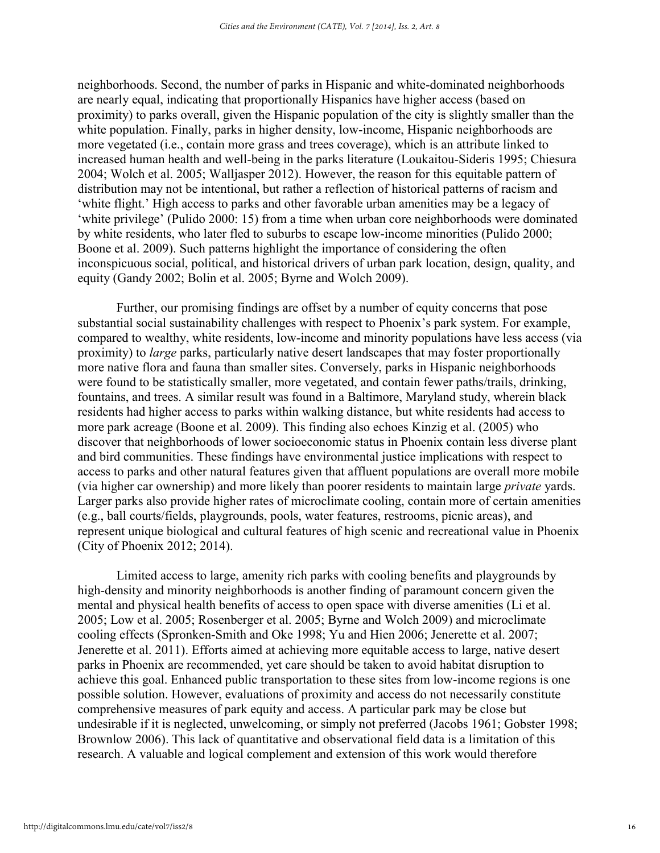neighborhoods. Second, the number of parks in Hispanic and white-dominated neighborhoods are nearly equal, indicating that proportionally Hispanics have higher access (based on proximity) to parks overall, given the Hispanic population of the city is slightly smaller than the white population. Finally, parks in higher density, low-income, Hispanic neighborhoods are more vegetated (i.e., contain more grass and trees coverage), which is an attribute linked to increased human health and well-being in the parks literature (Loukaitou-Sideris 1995; Chiesura 2004; Wolch et al. 2005; Walljasper 2012). However, the reason for this equitable pattern of distribution may not be intentional, but rather a reflection of historical patterns of racism and 'white flight.' High access to parks and other favorable urban amenities may be a legacy of 'white privilege' (Pulido 2000: 15) from a time when urban core neighborhoods were dominated by white residents, who later fled to suburbs to escape low-income minorities (Pulido 2000; Boone et al. 2009). Such patterns highlight the importance of considering the often inconspicuous social, political, and historical drivers of urban park location, design, quality, and equity (Gandy 2002; Bolin et al. 2005; Byrne and Wolch 2009).

 Further, our promising findings are offset by a number of equity concerns that pose substantial social sustainability challenges with respect to Phoenix's park system. For example, compared to wealthy, white residents, low-income and minority populations have less access (via proximity) to *large* parks, particularly native desert landscapes that may foster proportionally more native flora and fauna than smaller sites. Conversely, parks in Hispanic neighborhoods were found to be statistically smaller, more vegetated, and contain fewer paths/trails, drinking, fountains, and trees. A similar result was found in a Baltimore, Maryland study, wherein black residents had higher access to parks within walking distance, but white residents had access to more park acreage (Boone et al. 2009). This finding also echoes Kinzig et al. (2005) who discover that neighborhoods of lower socioeconomic status in Phoenix contain less diverse plant and bird communities. These findings have environmental justice implications with respect to access to parks and other natural features given that affluent populations are overall more mobile (via higher car ownership) and more likely than poorer residents to maintain large *private* yards. Larger parks also provide higher rates of microclimate cooling, contain more of certain amenities (e.g., ball courts/fields, playgrounds, pools, water features, restrooms, picnic areas), and represent unique biological and cultural features of high scenic and recreational value in Phoenix (City of Phoenix 2012; 2014).

Limited access to large, amenity rich parks with cooling benefits and playgrounds by high-density and minority neighborhoods is another finding of paramount concern given the mental and physical health benefits of access to open space with diverse amenities (Li et al. 2005; Low et al. 2005; Rosenberger et al. 2005; Byrne and Wolch 2009) and microclimate cooling effects (Spronken-Smith and Oke 1998; Yu and Hien 2006; Jenerette et al. 2007; Jenerette et al. 2011). Efforts aimed at achieving more equitable access to large, native desert parks in Phoenix are recommended, yet care should be taken to avoid habitat disruption to achieve this goal. Enhanced public transportation to these sites from low-income regions is one possible solution. However, evaluations of proximity and access do not necessarily constitute comprehensive measures of park equity and access. A particular park may be close but undesirable if it is neglected, unwelcoming, or simply not preferred (Jacobs 1961; Gobster 1998; Brownlow 2006). This lack of quantitative and observational field data is a limitation of this research. A valuable and logical complement and extension of this work would therefore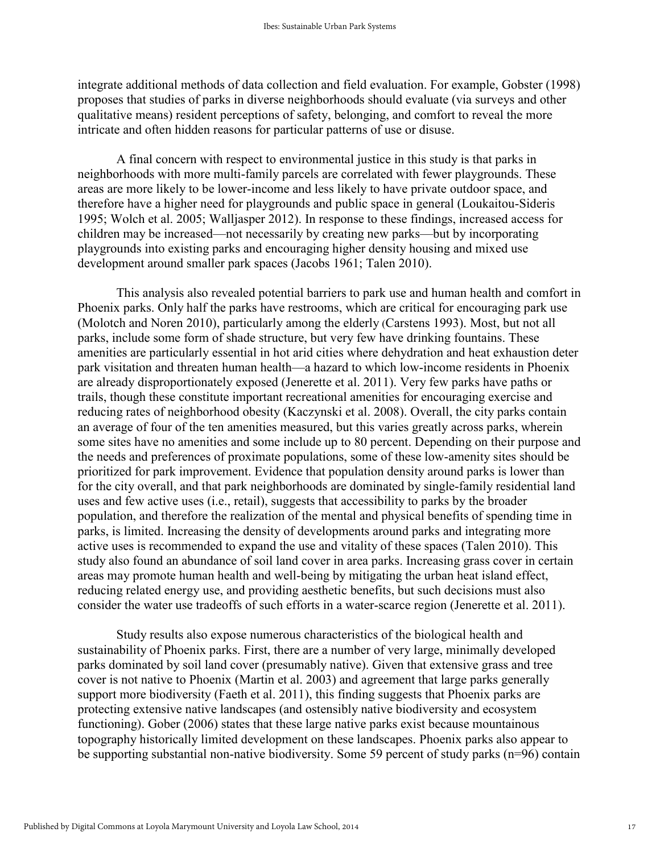integrate additional methods of data collection and field evaluation. For example, Gobster (1998) proposes that studies of parks in diverse neighborhoods should evaluate (via surveys and other qualitative means) resident perceptions of safety, belonging, and comfort to reveal the more intricate and often hidden reasons for particular patterns of use or disuse.

A final concern with respect to environmental justice in this study is that parks in neighborhoods with more multi-family parcels are correlated with fewer playgrounds. These areas are more likely to be lower-income and less likely to have private outdoor space, and therefore have a higher need for playgrounds and public space in general (Loukaitou-Sideris 1995; Wolch et al. 2005; Walljasper 2012). In response to these findings, increased access for children may be increased—not necessarily by creating new parks—but by incorporating playgrounds into existing parks and encouraging higher density housing and mixed use development around smaller park spaces (Jacobs 1961; Talen 2010).

This analysis also revealed potential barriers to park use and human health and comfort in Phoenix parks. Only half the parks have restrooms, which are critical for encouraging park use (Molotch and Noren 2010), particularly among the elderly (Carstens 1993). Most, but not all parks, include some form of shade structure, but very few have drinking fountains. These amenities are particularly essential in hot arid cities where dehydration and heat exhaustion deter park visitation and threaten human health—a hazard to which low-income residents in Phoenix are already disproportionately exposed (Jenerette et al. 2011). Very few parks have paths or trails, though these constitute important recreational amenities for encouraging exercise and reducing rates of neighborhood obesity (Kaczynski et al. 2008). Overall, the city parks contain an average of four of the ten amenities measured, but this varies greatly across parks, wherein some sites have no amenities and some include up to 80 percent. Depending on their purpose and the needs and preferences of proximate populations, some of these low-amenity sites should be prioritized for park improvement. Evidence that population density around parks is lower than for the city overall, and that park neighborhoods are dominated by single-family residential land uses and few active uses (i.e., retail), suggests that accessibility to parks by the broader population, and therefore the realization of the mental and physical benefits of spending time in parks, is limited. Increasing the density of developments around parks and integrating more active uses is recommended to expand the use and vitality of these spaces (Talen 2010). This study also found an abundance of soil land cover in area parks. Increasing grass cover in certain areas may promote human health and well-being by mitigating the urban heat island effect, reducing related energy use, and providing aesthetic benefits, but such decisions must also consider the water use tradeoffs of such efforts in a water-scarce region (Jenerette et al. 2011).

Study results also expose numerous characteristics of the biological health and sustainability of Phoenix parks. First, there are a number of very large, minimally developed parks dominated by soil land cover (presumably native). Given that extensive grass and tree cover is not native to Phoenix (Martin et al. 2003) and agreement that large parks generally support more biodiversity (Faeth et al. 2011), this finding suggests that Phoenix parks are protecting extensive native landscapes (and ostensibly native biodiversity and ecosystem functioning). Gober (2006) states that these large native parks exist because mountainous topography historically limited development on these landscapes. Phoenix parks also appear to be supporting substantial non-native biodiversity. Some 59 percent of study parks (n=96) contain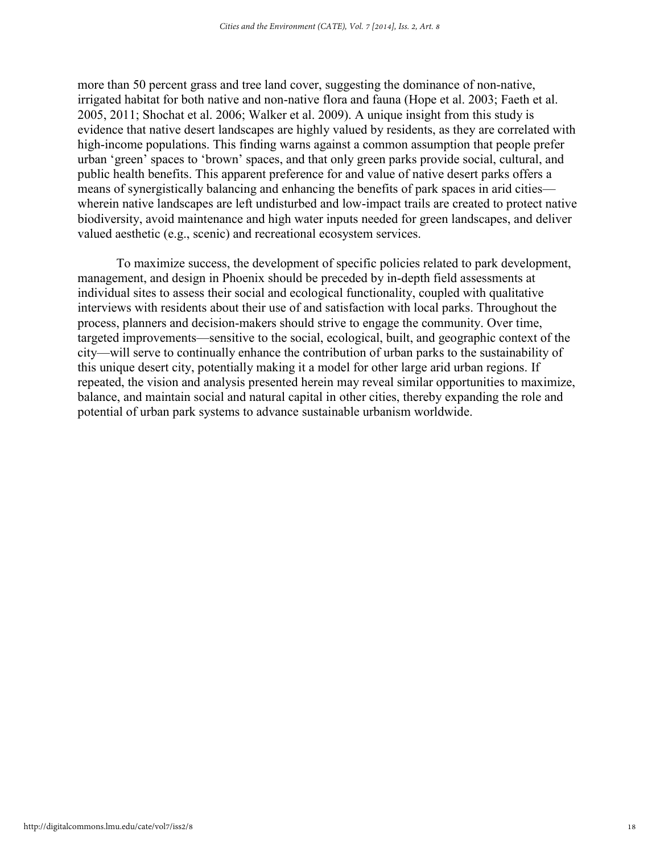more than 50 percent grass and tree land cover, suggesting the dominance of non-native, irrigated habitat for both native and non-native flora and fauna (Hope et al. 2003; Faeth et al. 2005, 2011; Shochat et al. 2006; Walker et al. 2009). A unique insight from this study is evidence that native desert landscapes are highly valued by residents, as they are correlated with high-income populations. This finding warns against a common assumption that people prefer urban 'green' spaces to 'brown' spaces, and that only green parks provide social, cultural, and public health benefits. This apparent preference for and value of native desert parks offers a means of synergistically balancing and enhancing the benefits of park spaces in arid cities wherein native landscapes are left undisturbed and low-impact trails are created to protect native biodiversity, avoid maintenance and high water inputs needed for green landscapes, and deliver valued aesthetic (e.g., scenic) and recreational ecosystem services.

To maximize success, the development of specific policies related to park development, management, and design in Phoenix should be preceded by in-depth field assessments at individual sites to assess their social and ecological functionality, coupled with qualitative interviews with residents about their use of and satisfaction with local parks. Throughout the process, planners and decision-makers should strive to engage the community. Over time, targeted improvements—sensitive to the social, ecological, built, and geographic context of the city—will serve to continually enhance the contribution of urban parks to the sustainability of this unique desert city, potentially making it a model for other large arid urban regions. If repeated, the vision and analysis presented herein may reveal similar opportunities to maximize, balance, and maintain social and natural capital in other cities, thereby expanding the role and potential of urban park systems to advance sustainable urbanism worldwide.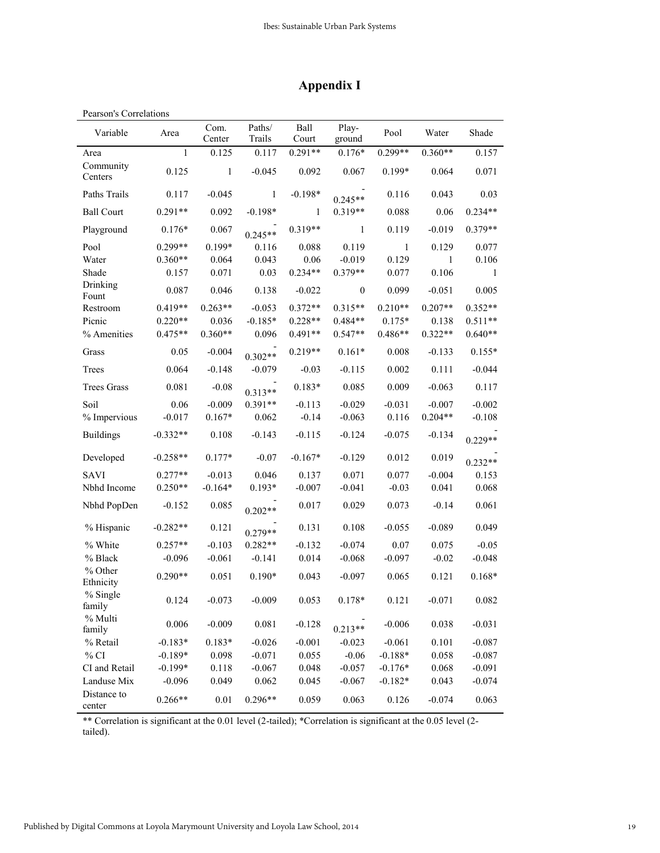### **Appendix I**

| Pearson's Correlations |              |                |                  |               |                  |              |           |           |
|------------------------|--------------|----------------|------------------|---------------|------------------|--------------|-----------|-----------|
| Variable               | Area         | Com.<br>Center | Paths/<br>Trails | Ball<br>Court | Play-<br>ground  | Pool         | Water     | Shade     |
| Area                   | $\mathbf{1}$ | 0.125          | 0.117            | $0.291**$     | $0.176*$         | $0.299**$    | $0.360**$ | 0.157     |
| Community<br>Centers   | 0.125        | 1              | $-0.045$         | 0.092         | 0.067            | 0.199*       | 0.064     | 0.071     |
| Paths Trails           | 0.117        | $-0.045$       | $\mathbf{1}$     | $-0.198*$     | $0.245**$        | 0.116        | 0.043     | 0.03      |
| <b>Ball Court</b>      | $0.291**$    | 0.092          | $-0.198*$        | 1             | 0.319**          | 0.088        | 0.06      | $0.234**$ |
| Playground             | $0.176*$     | 0.067          | $0.245**$        | 0.319**       | 1                | 0.119        | $-0.019$  | $0.379**$ |
| Pool                   | $0.299**$    | $0.199*$       | 0.116            | 0.088         | 0.119            | $\mathbf{1}$ | 0.129     | 0.077     |
| Water                  | $0.360**$    | 0.064          | 0.043            | 0.06          | $-0.019$         | 0.129        | 1         | 0.106     |
| Shade                  | 0.157        | 0.071          | 0.03             | $0.234**$     | $0.379**$        | 0.077        | 0.106     | 1         |
| Drinking<br>Fount      | 0.087        | 0.046          | 0.138            | $-0.022$      | $\boldsymbol{0}$ | 0.099        | $-0.051$  | 0.005     |
| Restroom               | $0.419**$    | $0.263**$      | $-0.053$         | $0.372**$     | $0.315**$        | $0.210**$    | $0.207**$ | $0.352**$ |
| Picnic                 | $0.220**$    | 0.036          | $-0.185*$        | $0.228**$     | $0.484**$        | $0.175*$     | 0.138     | $0.511**$ |
| % Amenities            | $0.475**$    | $0.360**$      | 0.096            | $0.491**$     | $0.547**$        | $0.486**$    | $0.322**$ | $0.640**$ |
| Grass                  | 0.05         | $-0.004$       | $0.302**$        | $0.219**$     | $0.161*$         | 0.008        | $-0.133$  | $0.155*$  |
| Trees                  | 0.064        | $-0.148$       | $-0.079$         | $-0.03$       | $-0.115$         | 0.002        | 0.111     | $-0.044$  |
| <b>Trees Grass</b>     | 0.081        | $-0.08$        | $0.313**$        | $0.183*$      | 0.085            | 0.009        | $-0.063$  | 0.117     |
| Soil                   | 0.06         | $-0.009$       | $0.391**$        | $-0.113$      | $-0.029$         | $-0.031$     | $-0.007$  | $-0.002$  |
| % Impervious           | $-0.017$     | $0.167*$       | 0.062            | $-0.14$       | $-0.063$         | 0.116        | $0.204**$ | $-0.108$  |
| <b>Buildings</b>       | $-0.332**$   | 0.108          | $-0.143$         | $-0.115$      | $-0.124$         | $-0.075$     | $-0.134$  | $0.229**$ |
| Developed              | $-0.258**$   | $0.177*$       | $-0.07$          | $-0.167*$     | $-0.129$         | 0.012        | 0.019     | $0.232**$ |
| <b>SAVI</b>            | $0.277**$    | $-0.013$       | 0.046            | 0.137         | 0.071            | 0.077        | $-0.004$  | 0.153     |
| Nbhd Income            | $0.250**$    | $-0.164*$      | $0.193*$         | $-0.007$      | $-0.041$         | $-0.03$      | 0.041     | 0.068     |
| Nbhd PopDen            | $-0.152$     | 0.085          | $0.202**$        | 0.017         | 0.029            | 0.073        | $-0.14$   | 0.061     |
| % Hispanic             | $-0.282**$   | 0.121          | $0.279**$        | 0.131         | 0.108            | $-0.055$     | $-0.089$  | 0.049     |
| % White                | $0.257**$    | $-0.103$       | $0.282**$        | $-0.132$      | $-0.074$         | 0.07         | 0.075     | $-0.05$   |
| % Black                | $-0.096$     | $-0.061$       | $-0.141$         | 0.014         | $-0.068$         | $-0.097$     | $-0.02$   | $-0.048$  |
| % Other<br>Ethnicity   | $0.290**$    | 0.051          | $0.190*$         | 0.043         | $-0.097$         | 0.065        | 0.121     | $0.168*$  |
| % Single<br>family     | 0.124        | $-0.073$       | $-0.009$         | 0.053         | 0.178*           | 0.121        | $-0.071$  | 0.082     |
| % Multi<br>family      | 0.006        | $-0.009$       | 0.081            | $-0.128$      | $0.213**$        | $-0.006$     | 0.038     | $-0.031$  |
| % Retail               | $-0.183*$    | $0.183*$       | $-0.026$         | $-0.001$      | $-0.023$         | $-0.061$     | 0.101     | $-0.087$  |
| $\%$ CI                | $-0.189*$    | 0.098          | $-0.071$         | 0.055         | $-0.06$          | $-0.188*$    | 0.058     | $-0.087$  |
| CI and Retail          | $-0.199*$    | 0.118          | $-0.067$         | 0.048         | $-0.057$         | $-0.176*$    | 0.068     | $-0.091$  |
| Landuse Mix            | $-0.096$     | 0.049          | 0.062            | 0.045         | $-0.067$         | $-0.182*$    | 0.043     | $-0.074$  |
| Distance to<br>center  | $0.266**$    | $0.01\,$       | $0.296**$        | 0.059         | 0.063            | 0.126        | $-0.074$  | 0.063     |

\*\* Correlation is significant at the 0.01 level (2-tailed); \*Correlation is significant at the 0.05 level (2 tailed).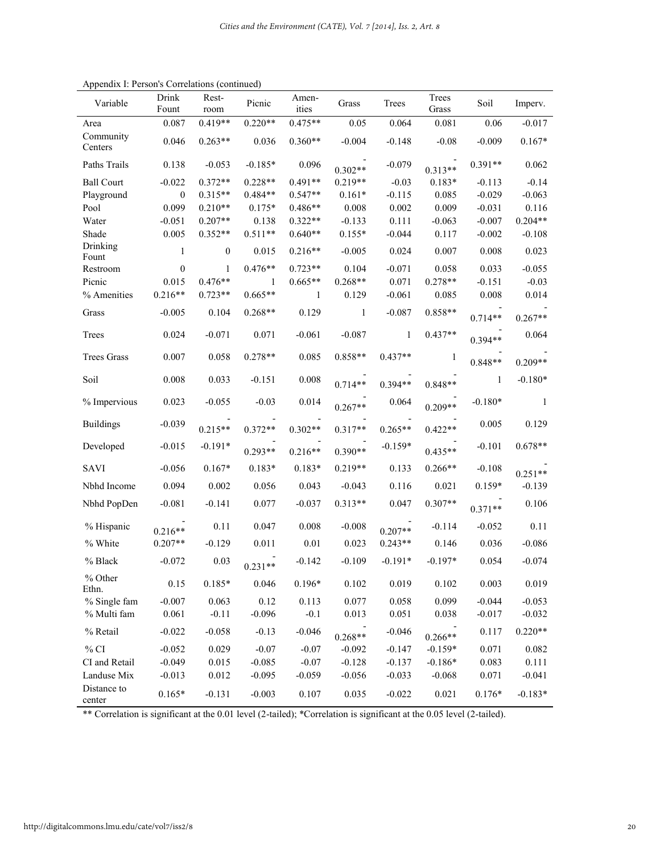| Variable              | Drink<br>Fount   | Rest-<br>room  | Picnic    | Amen-<br>ities | Grass        | Trees     | Trees<br>Grass | Soil      | Imperv.   |
|-----------------------|------------------|----------------|-----------|----------------|--------------|-----------|----------------|-----------|-----------|
| Area                  | 0.087            | $0.419**$      | $0.220**$ | $0.475**$      | 0.05         | 0.064     | 0.081          | 0.06      | $-0.017$  |
| Community<br>Centers  | 0.046            | $0.263**$      | 0.036     | $0.360**$      | $-0.004$     | $-0.148$  | $-0.08$        | $-0.009$  | $0.167*$  |
| Paths Trails          | 0.138            | $-0.053$       | $-0.185*$ | 0.096          | $0.302**$    | $-0.079$  | $0.313**$      | $0.391**$ | 0.062     |
| <b>Ball Court</b>     | $-0.022$         | $0.372**$      | $0.228**$ | $0.491**$      | $0.219**$    | $-0.03$   | $0.183*$       | $-0.113$  | $-0.14$   |
| Playground            | $\mathbf{0}$     | $0.315**$      | 0.484**   | $0.547**$      | $0.161*$     | $-0.115$  | 0.085          | $-0.029$  | $-0.063$  |
| Pool                  | 0.099            | $0.210**$      | $0.175*$  | $0.486**$      | 0.008        | 0.002     | 0.009          | $-0.031$  | 0.116     |
| Water                 | $-0.051$         | $0.207**$      | 0.138     | $0.322**$      | $-0.133$     | 0.111     | $-0.063$       | $-0.007$  | $0.204**$ |
| Shade                 | 0.005            | $0.352**$      | $0.511**$ | $0.640**$      | $0.155*$     | $-0.044$  | 0.117          | $-0.002$  | $-0.108$  |
| Drinking<br>Fount     | 1                | $\overline{0}$ | 0.015     | $0.216**$      | $-0.005$     | 0.024     | 0.007          | 0.008     | 0.023     |
| Restroom              | $\boldsymbol{0}$ | $\mathbf{1}$   | $0.476**$ | $0.723**$      | 0.104        | $-0.071$  | 0.058          | 0.033     | $-0.055$  |
| Picnic                | 0.015            | $0.476**$      | 1         | $0.665**$      | $0.268**$    | 0.071     | $0.278**$      | $-0.151$  | $-0.03$   |
| % Amenities           | $0.216**$        | $0.723**$      | $0.665**$ | 1              | 0.129        | $-0.061$  | 0.085          | 0.008     | 0.014     |
| Grass                 | $-0.005$         | 0.104          | $0.268**$ | 0.129          | $\mathbf{1}$ | $-0.087$  | $0.858**$      | $0.714**$ | $0.267**$ |
| Trees                 | 0.024            | $-0.071$       | 0.071     | $-0.061$       | $-0.087$     | -1        | $0.437**$      | $0.394**$ | 0.064     |
| <b>Trees Grass</b>    | 0.007            | 0.058          | $0.278**$ | 0.085          | 0.858**      | $0.437**$ | 1              | $0.848**$ | $0.209**$ |
| Soil                  | 0.008            | 0.033          | $-0.151$  | 0.008          | $0.714**$    | $0.394**$ | $0.848**$      | 1         | $-0.180*$ |
| % Impervious          | 0.023            | $-0.055$       | $-0.03$   | 0.014          | $0.267**$    | 0.064     | $0.209**$      | $-0.180*$ | -1        |
| <b>Buildings</b>      | $-0.039$         | $0.215**$      | $0.372**$ | $0.302**$      | $0.317**$    | $0.265**$ | $0.422**$      | 0.005     | 0.129     |
| Developed             | $-0.015$         | $-0.191*$      | $0.293**$ | $0.216**$      | $0.390**$    | $-0.159*$ | $0.435**$      | $-0.101$  | $0.678**$ |
| <b>SAVI</b>           | $-0.056$         | $0.167*$       | $0.183*$  | $0.183*$       | $0.219**$    | 0.133     | $0.266**$      | $-0.108$  | $0.251**$ |
| Nbhd Income           | 0.094            | 0.002          | 0.056     | 0.043          | $-0.043$     | 0.116     | 0.021          | $0.159*$  | $-0.139$  |
| Nbhd PopDen           | $-0.081$         | $-0.141$       | 0.077     | $-0.037$       | $0.313**$    | 0.047     | $0.307**$      | $0.371**$ | 0.106     |
| % Hispanic            | $0.216**$        | 0.11           | 0.047     | 0.008          | $-0.008$     | $0.207**$ | $-0.114$       | $-0.052$  | 0.11      |
| % White               | $0.207**$        | $-0.129$       | 0.011     | $0.01\,$       | 0.023        | $0.243**$ | 0.146          | 0.036     | $-0.086$  |
| % Black               | $-0.072$         | 0.03           | $0.231**$ | $-0.142$       | $-0.109$     | $-0.191*$ | $-0.197*$      | 0.054     | $-0.074$  |
| % Other<br>Ethn.      | 0.15             | $0.185*$       | 0.046     | $0.196*$       | 0.102        | 0.019     | 0.102          | 0.003     | 0.019     |
| % Single fam          | $-0.007$         | 0.063          | 0.12      | 0.113          | 0.077        | 0.058     | 0.099          | $-0.044$  | $-0.053$  |
| % Multi fam           | 0.061            | $-0.11$        | $-0.096$  | $-0.1$         | 0.013        | 0.051     | 0.038          | $-0.017$  | $-0.032$  |
| % Retail              | $-0.022$         | $-0.058$       | $-0.13$   | $-0.046$       | $0.268**$    | $-0.046$  | $0.266**$      | 0.117     | $0.220**$ |
| $\%$ CI               | $-0.052$         | 0.029          | $-0.07$   | $-0.07$        | $-0.092$     | $-0.147$  | $-0.159*$      | 0.071     | 0.082     |
| CI and Retail         | $-0.049$         | 0.015          | $-0.085$  | $-0.07$        | $-0.128$     | $-0.137$  | $-0.186*$      | 0.083     | 0.111     |
| Landuse Mix           | $-0.013$         | 0.012          | $-0.095$  | $-0.059$       | $-0.056$     | $-0.033$  | $-0.068$       | 0.071     | $-0.041$  |
| Distance to<br>center | $0.165*$         | $-0.131$       | $-0.003$  | 0.107          | 0.035        | $-0.022$  | 0.021          | $0.176*$  | $-0.183*$ |

Appendix I: Person's Correlations (continued)

\*\* Correlation is significant at the 0.01 level (2-tailed); \*Correlation is significant at the 0.05 level (2-tailed).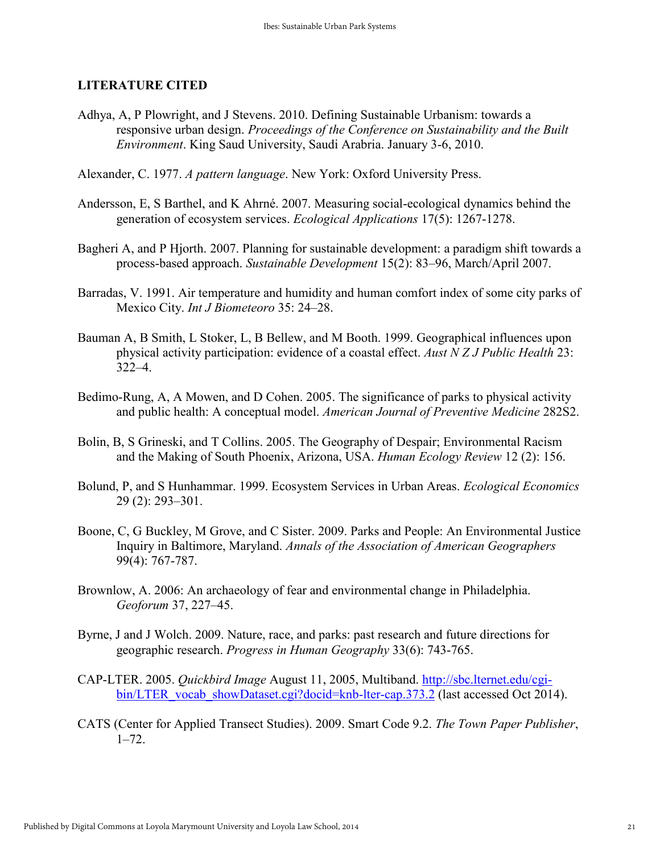#### **LITERATURE CITED**

Adhya, A, P Plowright, and J Stevens. 2010. Defining Sustainable Urbanism: towards a responsive urban design. *Proceedings of the Conference on Sustainability and the Built Environment*. King Saud University, Saudi Arabria. January 3-6, 2010.

Alexander, C. 1977. *A pattern language*. New York: Oxford University Press.

- Andersson, E, S Barthel, and K Ahrné. 2007. Measuring social-ecological dynamics behind the generation of ecosystem services. *Ecological Applications* 17(5): 1267-1278.
- Bagheri A, and P Hjorth. 2007. Planning for sustainable development: a paradigm shift towards a process-based approach. *Sustainable Development* 15(2): 83–96, March/April 2007.
- Barradas, V. 1991. Air temperature and humidity and human comfort index of some city parks of Mexico City. *Int J Biometeoro* 35: 24–28.
- Bauman A, B Smith, L Stoker, L, B Bellew, and M Booth. 1999. Geographical influences upon physical activity participation: evidence of a coastal effect. *Aust N Z J Public Health* 23: 322–4.
- Bedimo-Rung, A, A Mowen, and D Cohen. 2005. The significance of parks to physical activity and public health: A conceptual model. *American Journal of Preventive Medicine* 282S2.
- Bolin, B, S Grineski, and T Collins. 2005. The Geography of Despair; Environmental Racism and the Making of South Phoenix, Arizona, USA. *Human Ecology Review* 12 (2): 156.
- Bolund, P, and S Hunhammar. 1999. Ecosystem Services in Urban Areas. *Ecological Economics* 29 (2): 293–301.
- Boone, C, G Buckley, M Grove, and C Sister. 2009. Parks and People: An Environmental Justice Inquiry in Baltimore, Maryland. *Annals of the Association of American Geographers* 99(4): 767-787.
- Brownlow, A. 2006: An archaeology of fear and environmental change in Philadelphia. *Geoforum* 37, 227–45.
- Byrne, J and J Wolch. 2009. Nature, race, and parks: past research and future directions for geographic research. *Progress in Human Geography* 33(6): 743-765.
- CAP-LTER. 2005. *Quickbird Image* August 11, 2005, Multiband. [http://sbc.lternet.edu/cgi](http://sbc.lternet.edu/cgi-bin/LTER_vocab_showDataset.cgi?docid=knb-lter-cap.373.2)[bin/LTER\\_vocab\\_showDataset.cgi?docid=knb-lter-cap.373.2](http://sbc.lternet.edu/cgi-bin/LTER_vocab_showDataset.cgi?docid=knb-lter-cap.373.2) (last accessed Oct 2014).
- CATS (Center for Applied Transect Studies). 2009. Smart Code 9.2. *The Town Paper Publisher*, 1–72.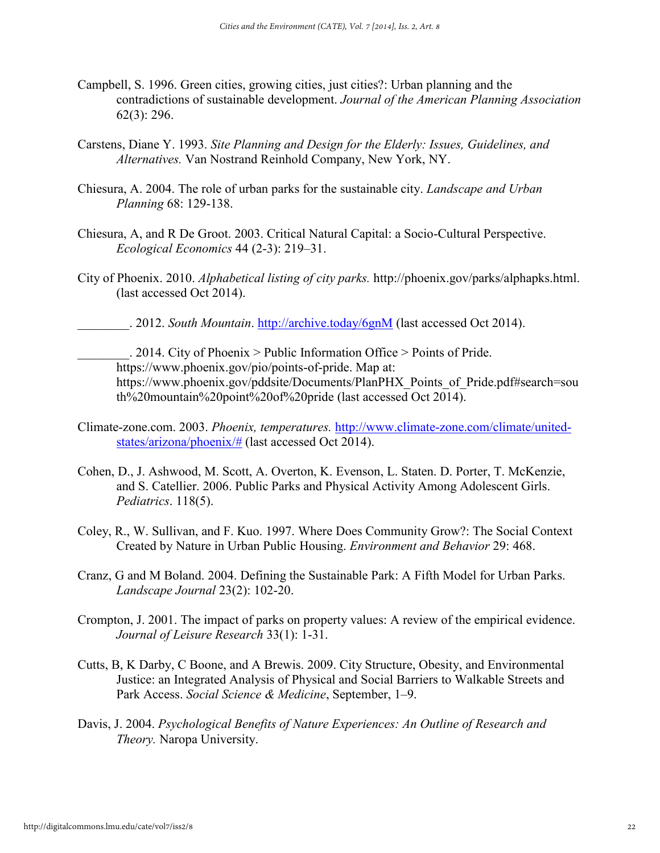- Campbell, S. 1996. Green cities, growing cities, just cities?: Urban planning and the contradictions of sustainable development. *Journal of the American Planning Association* 62(3): 296.
- Carstens, Diane Y. 1993. *Site Planning and Design for the Elderly: Issues, Guidelines, and Alternatives.* Van Nostrand Reinhold Company, New York, NY.
- Chiesura, A. 2004. The role of urban parks for the sustainable city. *Landscape and Urban Planning* 68: 129-138.
- Chiesura, A, and R De Groot. 2003. Critical Natural Capital: a Socio-Cultural Perspective. *Ecological Economics* 44 (2-3): 219–31.
- City of Phoenix. 2010. *Alphabetical listing of city parks.* http://phoenix.gov/parks/alphapks.html. (last accessed Oct 2014).
	- \_\_\_\_\_\_\_\_. 2012. *South Mountain*.<http://archive.today/6gnM> (last accessed Oct 2014).

 $\therefore$  2014. City of Phoenix > Public Information Office > Points of Pride. https://www.phoenix.gov/pio/points-of-pride. Map at: https://www.phoenix.gov/pddsite/Documents/PlanPHX\_Points\_of\_Pride.pdf#search=sou th%20mountain%20point%20of%20pride (last accessed Oct 2014).

- Climate-zone.com. 2003. *Phoenix, temperatures.* [http://www.climate-zone.com/climate/united](http://www.climate-zone.com/climate/united-states/arizona/phoenix/)[states/arizona/phoenix/#](http://www.climate-zone.com/climate/united-states/arizona/phoenix/) (last accessed Oct 2014).
- Cohen, D., J. Ashwood, M. Scott, A. Overton, K. Evenson, L. Staten. D. Porter, T. McKenzie, and S. Catellier. 2006. Public Parks and Physical Activity Among Adolescent Girls. *Pediatrics*. 118(5).
- Coley, R., W. Sullivan, and F. Kuo. 1997. Where Does Community Grow?: The Social Context Created by Nature in Urban Public Housing. *Environment and Behavior* 29: 468.
- Cranz, G and M Boland. 2004. Defining the Sustainable Park: A Fifth Model for Urban Parks. *Landscape Journal* 23(2): 102-20.
- Crompton, J. 2001. The impact of parks on property values: A review of the empirical evidence. *Journal of Leisure Research* 33(1): 1-31.
- Cutts, B, K Darby, C Boone, and A Brewis. 2009. City Structure, Obesity, and Environmental Justice: an Integrated Analysis of Physical and Social Barriers to Walkable Streets and Park Access. *Social Science & Medicine*, September, 1–9.
- Davis, J. 2004. *Psychological Benefits of Nature Experiences: An Outline of Research and Theory.* Naropa University.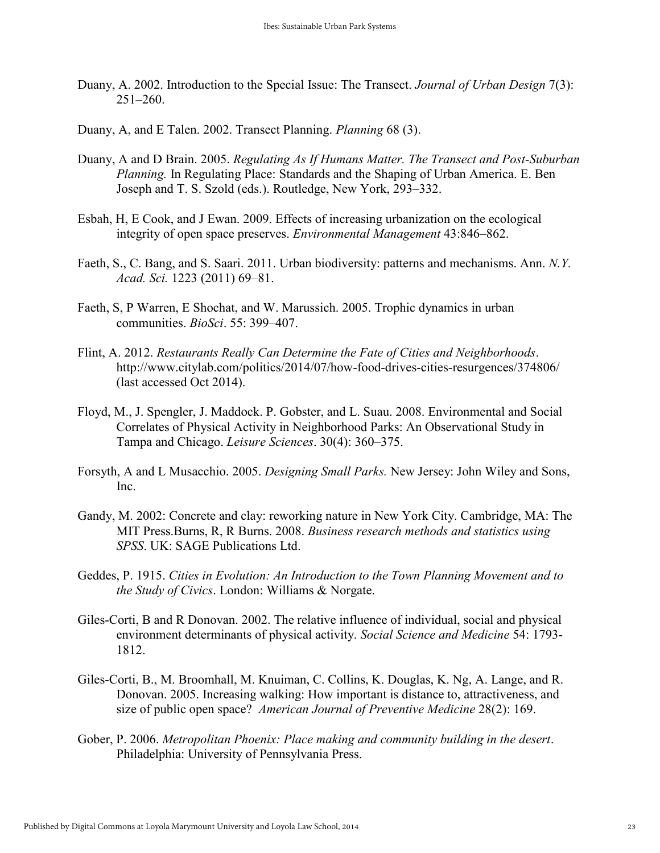- Duany, A. 2002. Introduction to the Special Issue: The Transect. *Journal of Urban Design* 7(3): 251–260.
- Duany, A, and E Talen. 2002. Transect Planning. *Planning* 68 (3).
- Duany, A and D Brain. 2005. *Regulating As If Humans Matter. The Transect and Post-Suburban Planning.* In Regulating Place: Standards and the Shaping of Urban America. E. Ben Joseph and T. S. Szold (eds.). Routledge, New York, 293–332.
- Esbah, H, E Cook, and J Ewan. 2009. Effects of increasing urbanization on the ecological integrity of open space preserves. *Environmental Management* 43:846–862.
- Faeth, S., C. Bang, and S. Saari. 2011. Urban biodiversity: patterns and mechanisms. Ann. *N.Y. Acad. Sci.* 1223 (2011) 69–81.
- Faeth, S, P Warren, E Shochat, and W. Marussich. 2005. Trophic dynamics in urban communities. *BioSci*. 55: 399–407.
- Flint, A. 2012. *Restaurants Really Can Determine the Fate of Cities and Neighborhoods*. http://www.citylab.com/politics/2014/07/how-food-drives-cities-resurgences/374806/ (last accessed Oct 2014).
- Floyd, M., J. Spengler, J. Maddock. P. Gobster, and L. Suau. 2008. Environmental and Social Correlates of Physical Activity in Neighborhood Parks: An Observational Study in Tampa and Chicago. *Leisure Sciences*. 30(4): 360–375.
- Forsyth, A and L Musacchio. 2005. *Designing Small Parks.* New Jersey: John Wiley and Sons, Inc.
- Gandy, M. 2002: Concrete and clay: reworking nature in New York City. Cambridge, MA: The MIT Press.Burns, R, R Burns. 2008. *Business research methods and statistics using SPSS*. UK: SAGE Publications Ltd.
- Geddes, P. 1915. *Cities in Evolution: An Introduction to the Town Planning Movement and to the Study of Civics*. London: Williams & Norgate.
- Giles-Corti, B and R Donovan. 2002. The relative influence of individual, social and physical environment determinants of physical activity. *Social Science and Medicine* 54: 1793- 1812.
- Giles-Corti, B., M. Broomhall, M. Knuiman, C. Collins, K. Douglas, K. Ng, A. Lange, and R. Donovan. 2005. Increasing walking: How important is distance to, attractiveness, and size of public open space? *American Journal of Preventive Medicine* 28(2): 169.
- Gober, P. 2006. *Metropolitan Phoenix: Place making and community building in the desert*. Philadelphia: University of Pennsylvania Press.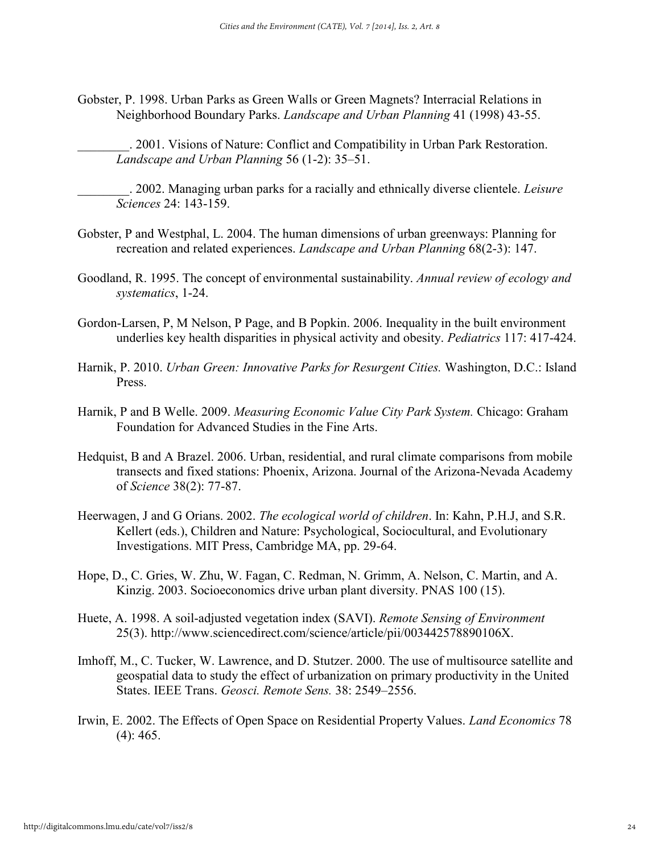Gobster, P. 1998. Urban Parks as Green Walls or Green Magnets? Interracial Relations in Neighborhood Boundary Parks. *Landscape and Urban Planning* 41 (1998) 43-55.

\_\_\_\_\_\_\_\_. 2001. Visions of Nature: Conflict and Compatibility in Urban Park Restoration. *Landscape and Urban Planning* 56 (1-2): 35–51.

\_\_\_\_\_\_\_\_. 2002. Managing urban parks for a racially and ethnically diverse clientele. *Leisure Sciences* 24: 143-159.

- Gobster, P and Westphal, L. 2004. The human dimensions of urban greenways: Planning for recreation and related experiences. *Landscape and Urban Planning* 68(2-3): 147.
- Goodland, R. 1995. The concept of environmental sustainability. *Annual review of ecology and systematics*, 1-24.
- Gordon-Larsen, P, M Nelson, P Page, and B Popkin. 2006. Inequality in the built environment underlies key health disparities in physical activity and obesity. *Pediatrics* 117: 417-424.
- Harnik, P. 2010. *Urban Green: Innovative Parks for Resurgent Cities.* Washington, D.C.: Island Press.
- Harnik, P and B Welle. 2009. *Measuring Economic Value City Park System.* Chicago: Graham Foundation for Advanced Studies in the Fine Arts.
- Hedquist, B and A Brazel. 2006. Urban, residential, and rural climate comparisons from mobile transects and fixed stations: Phoenix, Arizona. Journal of the Arizona-Nevada Academy of *Science* 38(2): 77-87.
- Heerwagen, J and G Orians. 2002. *The ecological world of children*. In: Kahn, P.H.J, and S.R. Kellert (eds.), Children and Nature: Psychological, Sociocultural, and Evolutionary Investigations. MIT Press, Cambridge MA, pp. 29-64.
- Hope, D., C. Gries, W. Zhu, W. Fagan, C. Redman, N. Grimm, A. Nelson, C. Martin, and A. Kinzig. 2003. Socioeconomics drive urban plant diversity. PNAS 100 (15).
- Huete, A. 1998. A soil-adjusted vegetation index (SAVI). *Remote Sensing of Environment* 25(3). http://www.sciencedirect.com/science/article/pii/003442578890106X.
- Imhoff, M., C. Tucker, W. Lawrence, and D. Stutzer. 2000. The use of multisource satellite and geospatial data to study the effect of urbanization on primary productivity in the United States. IEEE Trans. *Geosci. Remote Sens.* 38: 2549–2556.
- Irwin, E. 2002. The Effects of Open Space on Residential Property Values. *Land Economics* 78  $(4)$ : 465.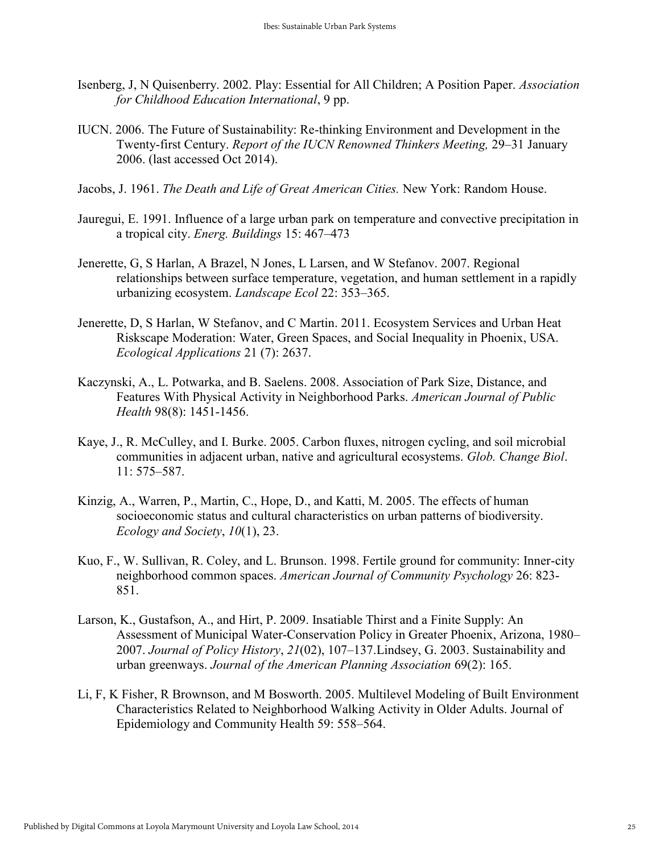- Isenberg, J, N Quisenberry. 2002. Play: Essential for All Children; A Position Paper. *Association for Childhood Education International*, 9 pp.
- IUCN. 2006. The Future of Sustainability: Re-thinking Environment and Development in the Twenty-first Century. *Report of the IUCN Renowned Thinkers Meeting,* 29–31 January 2006. (last accessed Oct 2014).
- Jacobs, J. 1961. *The Death and Life of Great American Cities.* New York: Random House.
- Jauregui, E. 1991. Influence of a large urban park on temperature and convective precipitation in a tropical city. *Energ. Buildings* 15: 467–473
- Jenerette, G, S Harlan, A Brazel, N Jones, L Larsen, and W Stefanov. 2007. Regional relationships between surface temperature, vegetation, and human settlement in a rapidly urbanizing ecosystem. *Landscape Ecol* 22: 353–365.
- Jenerette, D, S Harlan, W Stefanov, and C Martin. 2011. Ecosystem Services and Urban Heat Riskscape Moderation: Water, Green Spaces, and Social Inequality in Phoenix, USA. *Ecological Applications* 21 (7): 2637.
- Kaczynski, A., L. Potwarka, and B. Saelens. 2008. Association of Park Size, Distance, and Features With Physical Activity in Neighborhood Parks. *American Journal of Public Health* 98(8): 1451-1456.
- Kaye, J., R. McCulley, and I. Burke. 2005. Carbon fluxes, nitrogen cycling, and soil microbial communities in adjacent urban, native and agricultural ecosystems. *Glob. Change Biol*. 11: 575–587.
- Kinzig, A., Warren, P., Martin, C., Hope, D., and Katti, M. 2005. The effects of human socioeconomic status and cultural characteristics on urban patterns of biodiversity. *Ecology and Society*, *10*(1), 23.
- Kuo, F., W. Sullivan, R. Coley, and L. Brunson. 1998. Fertile ground for community: Inner-city neighborhood common spaces. *American Journal of Community Psychology* 26: 823- 851.
- Larson, K., Gustafson, A., and Hirt, P. 2009. Insatiable Thirst and a Finite Supply: An Assessment of Municipal Water-Conservation Policy in Greater Phoenix, Arizona, 1980– 2007. *Journal of Policy History*, *21*(02), 107–137.Lindsey, G. 2003. Sustainability and urban greenways. *Journal of the American Planning Association* 69(2): 165.
- Li, F, K Fisher, R Brownson, and M Bosworth. 2005. Multilevel Modeling of Built Environment Characteristics Related to Neighborhood Walking Activity in Older Adults. Journal of Epidemiology and Community Health 59: 558–564.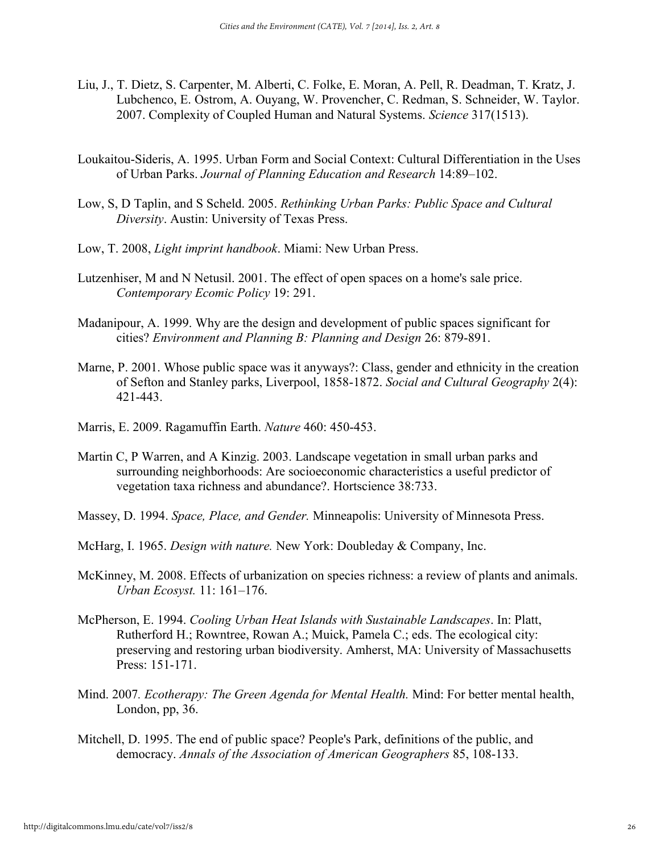- Liu, J., T. Dietz, S. Carpenter, M. Alberti, C. Folke, E. Moran, A. Pell, R. Deadman, T. Kratz, J. Lubchenco, E. Ostrom, A. Ouyang, W. Provencher, C. Redman, S. Schneider, W. Taylor. 2007. Complexity of Coupled Human and Natural Systems. *Science* 317(1513).
- Loukaitou-Sideris, A. 1995. Urban Form and Social Context: Cultural Differentiation in the Uses of Urban Parks. *Journal of Planning Education and Research* 14:89–102.
- Low, S, D Taplin, and S Scheld. 2005. *Rethinking Urban Parks: Public Space and Cultural Diversity*. Austin: University of Texas Press.
- Low, T. 2008, *Light imprint handbook*. Miami: New Urban Press.
- Lutzenhiser, M and N Netusil. 2001. The effect of open spaces on a home's sale price. *Contemporary Ecomic Policy* 19: 291.
- Madanipour, A. 1999. Why are the design and development of public spaces significant for cities? *Environment and Planning B: Planning and Design* 26: 879-891.
- Marne, P. 2001. Whose public space was it anyways?: Class, gender and ethnicity in the creation of Sefton and Stanley parks, Liverpool, 1858-1872. *Social and Cultural Geography* 2(4): 421-443.
- Marris, E. 2009. Ragamuffin Earth. *Nature* 460: 450-453.
- Martin C, P Warren, and A Kinzig. 2003. Landscape vegetation in small urban parks and surrounding neighborhoods: Are socioeconomic characteristics a useful predictor of vegetation taxa richness and abundance?. Hortscience 38:733.
- Massey, D. 1994. *Space, Place, and Gender.* Minneapolis: University of Minnesota Press.
- McHarg, I. 1965. *Design with nature.* New York: Doubleday & Company, Inc.
- McKinney, M. 2008. Effects of urbanization on species richness: a review of plants and animals. *Urban Ecosyst.* 11: 161–176.
- McPherson, E. 1994. *Cooling Urban Heat Islands with Sustainable Landscapes*. In: Platt, Rutherford H.; Rowntree, Rowan A.; Muick, Pamela C.; eds. The ecological city: preserving and restoring urban biodiversity. Amherst, MA: University of Massachusetts Press: 151-171.
- Mind. 2007*. Ecotherapy: The Green Agenda for Mental Health.* Mind: For better mental health, London, pp, 36.
- Mitchell, D. 1995. The end of public space? People's Park, definitions of the public, and democracy. *Annals of the Association of American Geographers* 85, 108-133.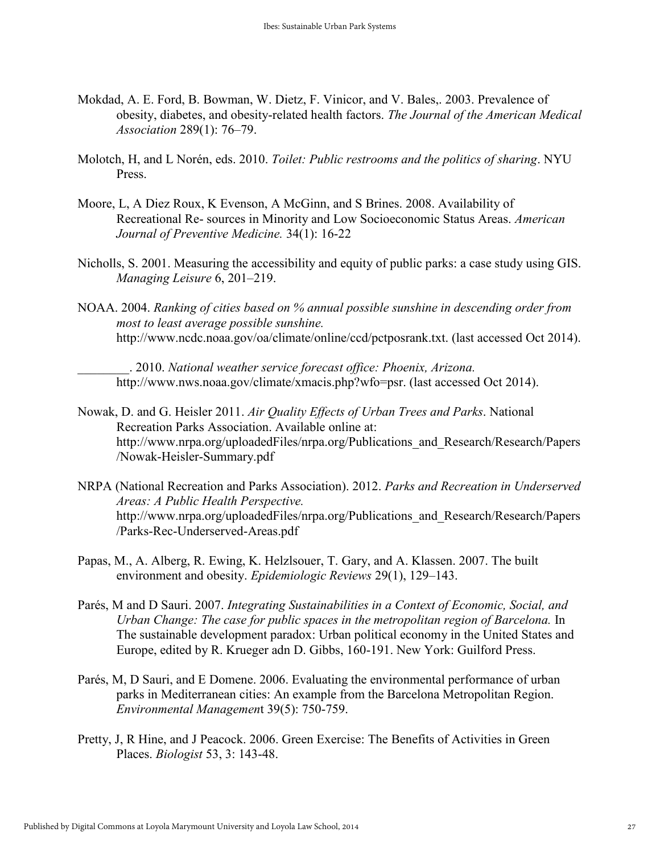- Mokdad, A. E. Ford, B. Bowman, W. Dietz, F. Vinicor, and V. Bales,. 2003. Prevalence of obesity, diabetes, and obesity-related health factors. *The Journal of the American Medical Association* 289(1): 76–79.
- Molotch, H, and L Norén, eds. 2010. *Toilet: Public restrooms and the politics of sharing*. NYU **Press**.
- Moore, L, A Diez Roux, K Evenson, A McGinn, and S Brines. 2008. Availability of Recreational Re- sources in Minority and Low Socioeconomic Status Areas. *American Journal of Preventive Medicine.* 34(1): 16-22
- Nicholls, S. 2001. Measuring the accessibility and equity of public parks: a case study using GIS. *Managing Leisure* 6, 201–219.
- NOAA. 2004. *Ranking of cities based on % annual possible sunshine in descending order from most to least average possible sunshine.* http://www.ncdc.noaa.gov/oa/climate/online/ccd/pctposrank.txt. (last accessed Oct 2014).

\_\_\_\_\_\_\_\_. 2010. *National weather service forecast office: Phoenix, Arizona.*  http://www.nws.noaa.gov/climate/xmacis.php?wfo=psr. (last accessed Oct 2014).

- Nowak, D. and G. Heisler 2011. *Air Quality Effects of Urban Trees and Parks*. National Recreation Parks Association. Available online at: http://www.nrpa.org/uploadedFiles/nrpa.org/Publications\_and\_Research/Research/Papers /Nowak-Heisler-Summary.pdf
- NRPA (National Recreation and Parks Association). 2012. *Parks and Recreation in Underserved Areas: A Public Health Perspective.* http://www.nrpa.org/uploadedFiles/nrpa.org/Publications\_and\_Research/Research/Papers /Parks-Rec-Underserved-Areas.pdf
- Papas, M., A. Alberg, R. Ewing, K. Helzlsouer, T. Gary, and A. Klassen. 2007. The built environment and obesity. *Epidemiologic Reviews* 29(1), 129–143.
- Parés, M and D Sauri. 2007. *Integrating Sustainabilities in a Context of Economic, Social, and Urban Change: The case for public spaces in the metropolitan region of Barcelona.* In The sustainable development paradox: Urban political economy in the United States and Europe, edited by R. Krueger adn D. Gibbs, 160-191. New York: Guilford Press.
- Parés, M, D Sauri, and E Domene. 2006. Evaluating the environmental performance of urban parks in Mediterranean cities: An example from the Barcelona Metropolitan Region. *Environmental Managemen*t 39(5): 750-759.
- Pretty, J, R Hine, and J Peacock. 2006. Green Exercise: The Benefits of Activities in Green Places. *Biologist* 53, 3: 143-48.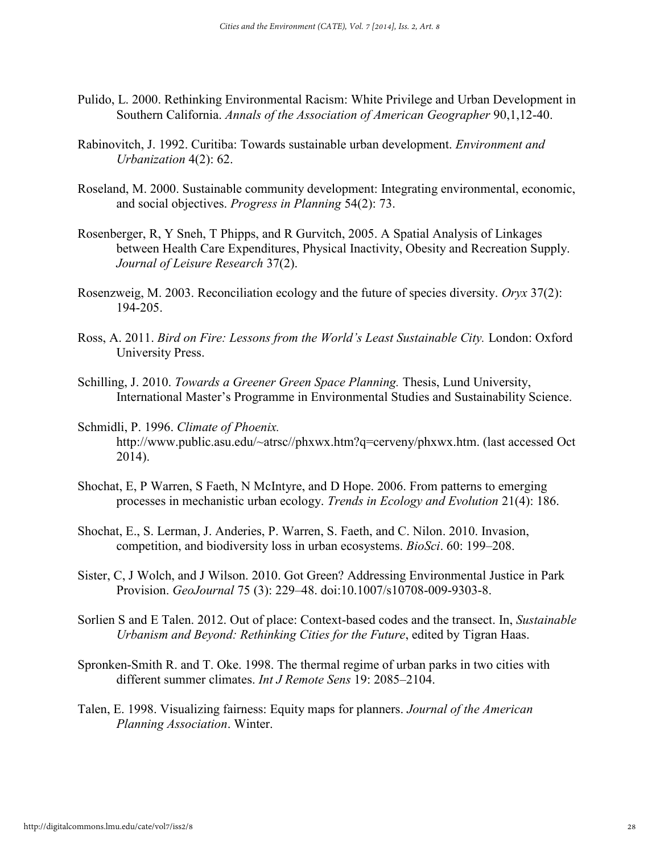- Pulido, L. 2000. Rethinking Environmental Racism: White Privilege and Urban Development in Southern California. *Annals of the Association of American Geographer* 90,1,12-40.
- Rabinovitch, J. 1992. Curitiba: Towards sustainable urban development. *Environment and Urbanization* 4(2): 62.
- Roseland, M. 2000. Sustainable community development: Integrating environmental, economic, and social objectives. *Progress in Planning* 54(2): 73.
- Rosenberger, R, Y Sneh, T Phipps, and R Gurvitch, 2005. A Spatial Analysis of Linkages between Health Care Expenditures, Physical Inactivity, Obesity and Recreation Supply. *Journal of Leisure Research* 37(2).
- Rosenzweig, M. 2003. Reconciliation ecology and the future of species diversity. *Oryx* 37(2): 194-205.
- Ross, A. 2011. *Bird on Fire: Lessons from the World's Least Sustainable City.* London: Oxford University Press.
- Schilling, J. 2010. *Towards a Greener Green Space Planning.* Thesis, Lund University, International Master's Programme in Environmental Studies and Sustainability Science.
- Schmidli, P. 1996. *Climate of Phoenix.* http://www.public.asu.edu/~atrsc//phxwx.htm?q=cerveny/phxwx.htm. (last accessed Oct 2014).
- Shochat, E, P Warren, S Faeth, N McIntyre, and D Hope. 2006. From patterns to emerging processes in mechanistic urban ecology. *Trends in Ecology and Evolution* 21(4): 186.
- Shochat, E., S. Lerman, J. Anderies, P. Warren, S. Faeth, and C. Nilon. 2010. Invasion, competition, and biodiversity loss in urban ecosystems. *BioSci*. 60: 199–208.
- Sister, C, J Wolch, and J Wilson. 2010. Got Green? Addressing Environmental Justice in Park Provision. *GeoJournal* 75 (3): 229–48. doi:10.1007/s10708-009-9303-8.
- Sorlien S and E Talen. 2012. Out of place: Context-based codes and the transect. In, *Sustainable Urbanism and Beyond: Rethinking Cities for the Future*, edited by Tigran Haas.
- Spronken-Smith R. and T. Oke. 1998. The thermal regime of urban parks in two cities with different summer climates. *Int J Remote Sens* 19: 2085–2104.
- Talen, E. 1998. Visualizing fairness: Equity maps for planners. *Journal of the American Planning Association*. Winter.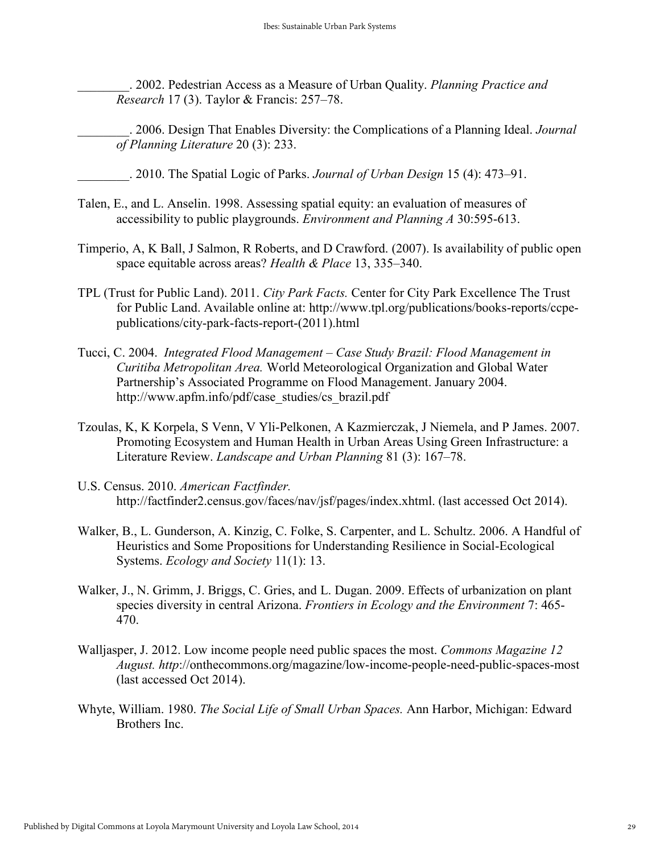\_\_\_\_\_\_\_\_. 2002. Pedestrian Access as a Measure of Urban Quality. *Planning Practice and Research* 17 (3). Taylor & Francis: 257–78.

\_\_\_\_\_\_\_\_. 2006. Design That Enables Diversity: the Complications of a Planning Ideal. *Journal of Planning Literature* 20 (3): 233.

\_\_\_\_\_\_\_\_. 2010. The Spatial Logic of Parks. *Journal of Urban Design* 15 (4): 473–91.

- Talen, E., and L. Anselin. 1998. Assessing spatial equity: an evaluation of measures of accessibility to public playgrounds. *Environment and Planning A* 30:595-613.
- Timperio, A, K Ball, J Salmon, R Roberts, and D Crawford. (2007). Is availability of public open space equitable across areas? *Health & Place* 13, 335–340.
- TPL (Trust for Public Land). 2011. *City Park Facts.* Center for City Park Excellence The Trust for Public Land. Available online at: http://www.tpl.org/publications/books-reports/ccpepublications/city-park-facts-report-(2011).html
- Tucci, C. 2004. *Integrated Flood Management – Case Study Brazil: Flood Management in Curitiba Metropolitan Area.* World Meteorological Organization and Global Water Partnership's Associated Programme on Flood Management. January 2004. http://www.apfm.info/pdf/case\_studies/cs\_brazil.pdf
- Tzoulas, K, K Korpela, S Venn, V Yli-Pelkonen, A Kazmierczak, J Niemela, and P James. 2007. Promoting Ecosystem and Human Health in Urban Areas Using Green Infrastructure: a Literature Review. *Landscape and Urban Planning* 81 (3): 167–78.
- U.S. Census. 2010. *American Factfinder.* http://factfinder2.census.gov/faces/nav/jsf/pages/index.xhtml. (last accessed Oct 2014).
- Walker, B., L. Gunderson, A. Kinzig, C. Folke, S. Carpenter, and L. Schultz. 2006. A Handful of Heuristics and Some Propositions for Understanding Resilience in Social-Ecological Systems. *Ecology and Society* 11(1): 13.
- Walker, J., N. Grimm, J. Briggs, C. Gries, and L. Dugan. 2009. Effects of urbanization on plant species diversity in central Arizona. *Frontiers in Ecology and the Environment* 7: 465- 470.
- Walljasper, J. 2012. Low income people need public spaces the most. *Commons Magazine 12 August. http*://onthecommons.org/magazine/low-income-people-need-public-spaces-most (last accessed Oct 2014).
- Whyte, William. 1980. *The Social Life of Small Urban Spaces.* Ann Harbor, Michigan: Edward Brothers Inc.